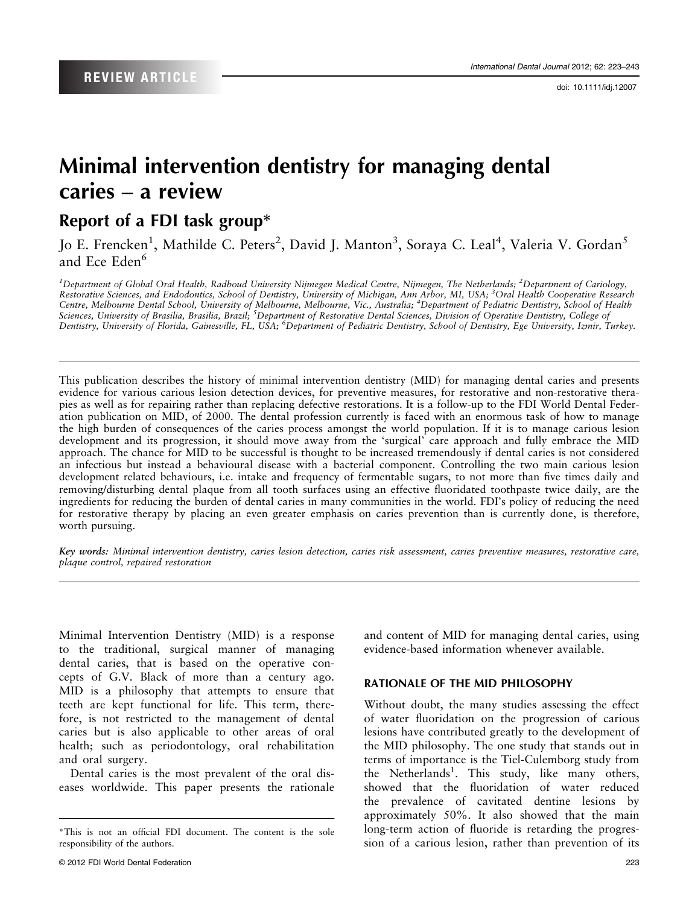doi: 10.1111/idj.12007

# Minimal intervention dentistry for managing dental caries – a review

## Report of a FDI task group\*

Jo E. Frencken<sup>1</sup>, Mathilde C. Peters<sup>2</sup>, David J. Manton<sup>3</sup>, Soraya C. Leal<sup>4</sup>, Valeria V. Gordan<sup>5</sup> and Ece Eden<sup>6</sup>

<sup>1</sup>Department of Global Oral Health, Radboud University Nijmegen Medical Centre, Nijmegen, The Netherlands; <sup>2</sup>Department of Cariology, Restorative Sciences, and Endodontics, School of Dentistry, University of Michigan, Ann Arbor, MI, USA; <sup>3</sup>Oral Health Cooperative Research Centre, Melbourne Dental School, University of Melbourne, Melbourne, Vic., Australia; <sup>4</sup>Department of Pediatric Dentistry, School of Health<br>Sciences, University of Brasilia, Brasilia, Brazil; <sup>5</sup>Department of Restorative Dentistry, University of Florida, Gainesville, FL, USA; <sup>6</sup>Department of Pediatric Dentistry, School of Dentistry, Ege University, Izmir, Turkey.

This publication describes the history of minimal intervention dentistry (MID) for managing dental caries and presents evidence for various carious lesion detection devices, for preventive measures, for restorative and non-restorative therapies as well as for repairing rather than replacing defective restorations. It is a follow-up to the FDI World Dental Federation publication on MID, of 2000. The dental profession currently is faced with an enormous task of how to manage the high burden of consequences of the caries process amongst the world population. If it is to manage carious lesion development and its progression, it should move away from the 'surgical' care approach and fully embrace the MID approach. The chance for MID to be successful is thought to be increased tremendously if dental caries is not considered an infectious but instead a behavioural disease with a bacterial component. Controlling the two main carious lesion development related behaviours, i.e. intake and frequency of fermentable sugars, to not more than five times daily and removing/disturbing dental plaque from all tooth surfaces using an effective fluoridated toothpaste twice daily, are the ingredients for reducing the burden of dental caries in many communities in the world. FDI's policy of reducing the need for restorative therapy by placing an even greater emphasis on caries prevention than is currently done, is therefore, worth pursuing.

Key words: Minimal intervention dentistry, caries lesion detection, caries risk assessment, caries preventive measures, restorative care, plaque control, repaired restoration

Minimal Intervention Dentistry (MID) is a response to the traditional, surgical manner of managing dental caries, that is based on the operative concepts of G.V. Black of more than a century ago. MID is a philosophy that attempts to ensure that teeth are kept functional for life. This term, therefore, is not restricted to the management of dental caries but is also applicable to other areas of oral health; such as periodontology, oral rehabilitation and oral surgery.

Dental caries is the most prevalent of the oral diseases worldwide. This paper presents the rationale and content of MID for managing dental caries, using evidence-based information whenever available.

#### RATIONALE OF THE MID PHILOSOPHY

Without doubt, the many studies assessing the effect of water fluoridation on the progression of carious lesions have contributed greatly to the development of the MID philosophy. The one study that stands out in terms of importance is the Tiel-Culemborg study from the Netherlands<sup>1</sup>. This study, like many others, showed that the fluoridation of water reduced the prevalence of cavitated dentine lesions by approximately 50%. It also showed that the main long-term action of fluoride is retarding the progression of a carious lesion, rather than prevention of its

<sup>\*</sup>This is not an official FDI document. The content is the sole responsibility of the authors.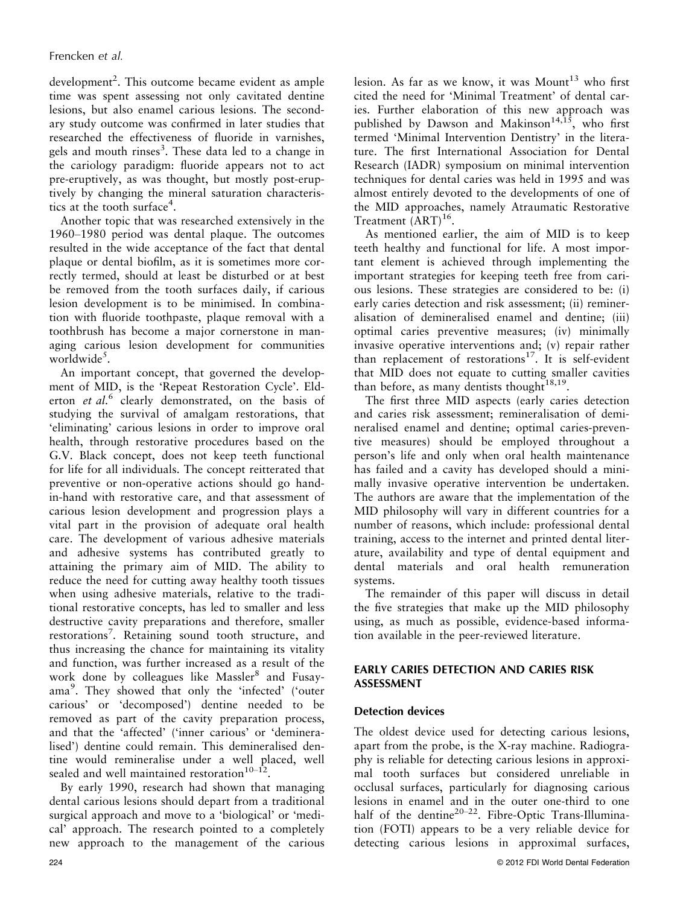development<sup>2</sup>. This outcome became evident as ample time was spent assessing not only cavitated dentine lesions, but also enamel carious lesions. The secondary study outcome was confirmed in later studies that researched the effectiveness of fluoride in varnishes, gels and mouth rinses<sup>3</sup>. These data led to a change in the cariology paradigm: fluoride appears not to act pre-eruptively, as was thought, but mostly post-eruptively by changing the mineral saturation characteristics at the tooth surface<sup>4</sup>.

Another topic that was researched extensively in the 1960–1980 period was dental plaque. The outcomes resulted in the wide acceptance of the fact that dental plaque or dental biofilm, as it is sometimes more correctly termed, should at least be disturbed or at best be removed from the tooth surfaces daily, if carious lesion development is to be minimised. In combination with fluoride toothpaste, plaque removal with a toothbrush has become a major cornerstone in managing carious lesion development for communities worldwide<sup>5</sup>.

An important concept, that governed the development of MID, is the 'Repeat Restoration Cycle'. Elderton et al.<sup>6</sup> clearly demonstrated, on the basis of studying the survival of amalgam restorations, that 'eliminating' carious lesions in order to improve oral health, through restorative procedures based on the G.V. Black concept, does not keep teeth functional for life for all individuals. The concept reitterated that preventive or non-operative actions should go handin-hand with restorative care, and that assessment of carious lesion development and progression plays a vital part in the provision of adequate oral health care. The development of various adhesive materials and adhesive systems has contributed greatly to attaining the primary aim of MID. The ability to reduce the need for cutting away healthy tooth tissues when using adhesive materials, relative to the traditional restorative concepts, has led to smaller and less destructive cavity preparations and therefore, smaller restorations<sup>7</sup>. Retaining sound tooth structure, and thus increasing the chance for maintaining its vitality and function, was further increased as a result of the work done by colleagues like Massler<sup>8</sup> and Fusayama<sup>9</sup>. They showed that only the 'infected' ('outer carious' or 'decomposed') dentine needed to be removed as part of the cavity preparation process, and that the 'affected' ('inner carious' or 'demineralised') dentine could remain. This demineralised dentine would remineralise under a well placed, well sealed and well maintained restoration<sup>10–12</sup>.

By early 1990, research had shown that managing dental carious lesions should depart from a traditional surgical approach and move to a 'biological' or 'medical' approach. The research pointed to a completely new approach to the management of the carious lesion. As far as we know, it was  $M$ ount<sup>13</sup> who first cited the need for 'Minimal Treatment' of dental caries. Further elaboration of this new approach was published by Dawson and Makinson<sup>14,15</sup>, who first termed 'Minimal Intervention Dentistry' in the literature. The first International Association for Dental Research (IADR) symposium on minimal intervention techniques for dental caries was held in 1995 and was almost entirely devoted to the developments of one of the MID approaches, namely Atraumatic Restorative Treatment  $(ART)^{16}$ .

As mentioned earlier, the aim of MID is to keep teeth healthy and functional for life. A most important element is achieved through implementing the important strategies for keeping teeth free from carious lesions. These strategies are considered to be: (i) early caries detection and risk assessment; (ii) remineralisation of demineralised enamel and dentine; (iii) optimal caries preventive measures; (iv) minimally invasive operative interventions and; (v) repair rather than replacement of restorations<sup>17</sup>. It is self-evident that MID does not equate to cutting smaller cavities than before, as many dentists thought<sup>18,19</sup>.

The first three MID aspects (early caries detection and caries risk assessment; remineralisation of demineralised enamel and dentine; optimal caries-preventive measures) should be employed throughout a person's life and only when oral health maintenance has failed and a cavity has developed should a minimally invasive operative intervention be undertaken. The authors are aware that the implementation of the MID philosophy will vary in different countries for a number of reasons, which include: professional dental training, access to the internet and printed dental literature, availability and type of dental equipment and dental materials and oral health remuneration systems.

The remainder of this paper will discuss in detail the five strategies that make up the MID philosophy using, as much as possible, evidence-based information available in the peer-reviewed literature.

#### EARLY CARIES DETECTION AND CARIES RISK ASSESSMENT

## Detection devices

The oldest device used for detecting carious lesions, apart from the probe, is the X-ray machine. Radiography is reliable for detecting carious lesions in approximal tooth surfaces but considered unreliable in occlusal surfaces, particularly for diagnosing carious lesions in enamel and in the outer one-third to one half of the dentine<sup>20–22</sup>. Fibre-Optic Trans-Illumination (FOTI) appears to be a very reliable device for detecting carious lesions in approximal surfaces,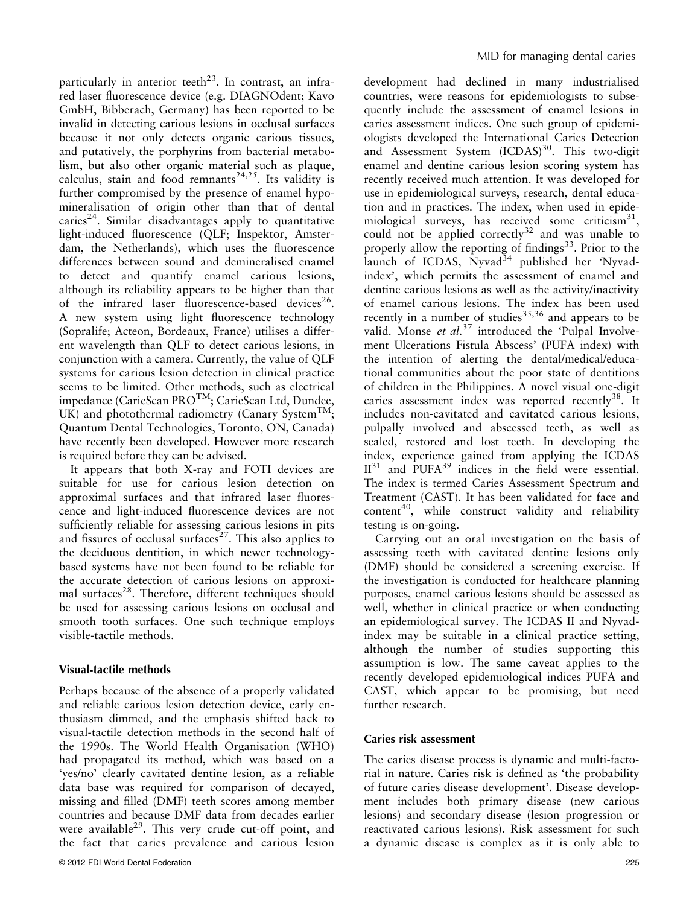particularly in anterior teeth<sup>23</sup>. In contrast, an infrared laser fluorescence device (e.g. DIAGNOdent; Kavo GmbH, Bibberach, Germany) has been reported to be invalid in detecting carious lesions in occlusal surfaces because it not only detects organic carious tissues, and putatively, the porphyrins from bacterial metabolism, but also other organic material such as plaque, calculus, stain and food remnants<sup>24,25</sup>. Its validity is further compromised by the presence of enamel hypomineralisation of origin other than that of dental caries<sup>24</sup>. Similar disadvantages apply to quantitative light-induced fluorescence (QLF; Inspektor, Amsterdam, the Netherlands), which uses the fluorescence differences between sound and demineralised enamel to detect and quantify enamel carious lesions, although its reliability appears to be higher than that of the infrared laser fluorescence-based devices<sup>26</sup>. A new system using light fluorescence technology (Sopralife; Acteon, Bordeaux, France) utilises a different wavelength than QLF to detect carious lesions, in conjunction with a camera. Currently, the value of QLF systems for carious lesion detection in clinical practice seems to be limited. Other methods, such as electrical impedance (CarieScan PRO<sup>TM</sup>; CarieScan Ltd, Dundee, UK) and photothermal radiometry (Canary System<sup>TM</sup>; Quantum Dental Technologies, Toronto, ON, Canada) have recently been developed. However more research is required before they can be advised.

It appears that both X-ray and FOTI devices are suitable for use for carious lesion detection on approximal surfaces and that infrared laser fluorescence and light-induced fluorescence devices are not sufficiently reliable for assessing carious lesions in pits and fissures of occlusal surfaces<sup>27</sup>. This also applies to the deciduous dentition, in which newer technologybased systems have not been found to be reliable for the accurate detection of carious lesions on approximal surfaces<sup>28</sup>. Therefore, different techniques should be used for assessing carious lesions on occlusal and smooth tooth surfaces. One such technique employs visible-tactile methods.

## Visual-tactile methods

Perhaps because of the absence of a properly validated and reliable carious lesion detection device, early enthusiasm dimmed, and the emphasis shifted back to visual-tactile detection methods in the second half of the 1990s. The World Health Organisation (WHO) had propagated its method, which was based on a 'yes/no' clearly cavitated dentine lesion, as a reliable data base was required for comparison of decayed, missing and filled (DMF) teeth scores among member countries and because DMF data from decades earlier were available $^{29}$ . This very crude cut-off point, and the fact that caries prevalence and carious lesion development had declined in many industrialised countries, were reasons for epidemiologists to subsequently include the assessment of enamel lesions in caries assessment indices. One such group of epidemiologists developed the International Caries Detection and Assessment System  $(ICDAS)^{30}$ . This two-digit enamel and dentine carious lesion scoring system has recently received much attention. It was developed for use in epidemiological surveys, research, dental education and in practices. The index, when used in epidemiological surveys, has received some criticism $31$ , could not be applied correctly $32$  and was unable to properly allow the reporting of findings<sup>33</sup>. Prior to the launch of ICDAS, Nyvad<sup>34</sup> published her 'Nyvadindex', which permits the assessment of enamel and dentine carious lesions as well as the activity/inactivity of enamel carious lesions. The index has been used recently in a number of studies<sup>35,36</sup> and appears to be valid. Monse et  $al.^{37}$  introduced the 'Pulpal Involvement Ulcerations Fistula Abscess' (PUFA index) with the intention of alerting the dental/medical/educational communities about the poor state of dentitions of children in the Philippines. A novel visual one-digit caries assessment index was reported recently<sup>38</sup>. It includes non-cavitated and cavitated carious lesions, pulpally involved and abscessed teeth, as well as sealed, restored and lost teeth. In developing the index, experience gained from applying the ICDAS  $II<sup>31</sup>$  and PUFA $39$  indices in the field were essential. The index is termed Caries Assessment Spectrum and Treatment (CAST). It has been validated for face and content<sup>40</sup>, while construct validity and reliability testing is on-going.

Carrying out an oral investigation on the basis of assessing teeth with cavitated dentine lesions only (DMF) should be considered a screening exercise. If the investigation is conducted for healthcare planning purposes, enamel carious lesions should be assessed as well, whether in clinical practice or when conducting an epidemiological survey. The ICDAS II and Nyvadindex may be suitable in a clinical practice setting, although the number of studies supporting this assumption is low. The same caveat applies to the recently developed epidemiological indices PUFA and CAST, which appear to be promising, but need further research.

#### Caries risk assessment

The caries disease process is dynamic and multi-factorial in nature. Caries risk is defined as 'the probability of future caries disease development'. Disease development includes both primary disease (new carious lesions) and secondary disease (lesion progression or reactivated carious lesions). Risk assessment for such a dynamic disease is complex as it is only able to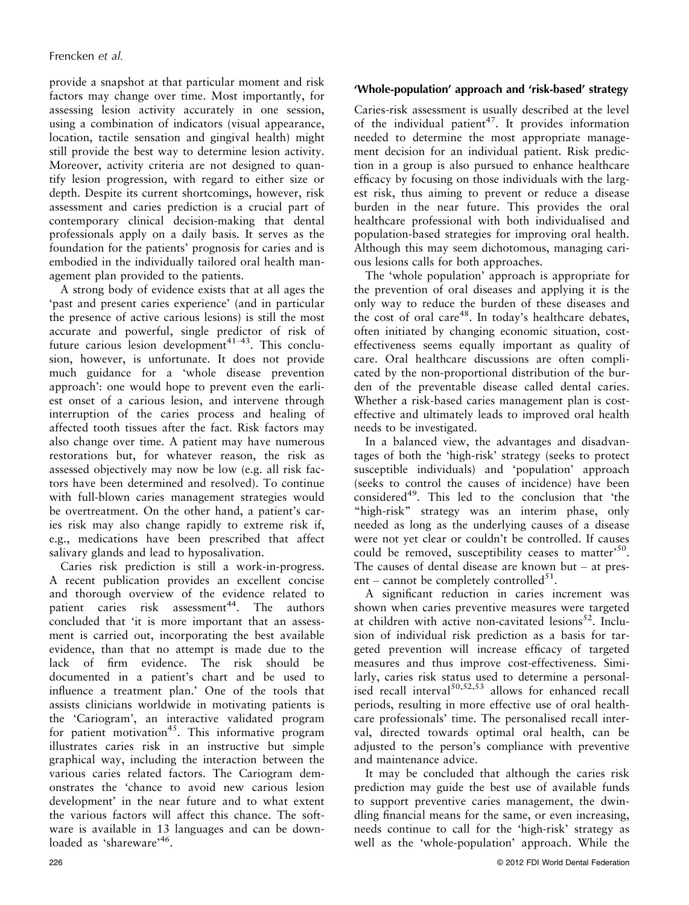provide a snapshot at that particular moment and risk factors may change over time. Most importantly, for assessing lesion activity accurately in one session, using a combination of indicators (visual appearance, location, tactile sensation and gingival health) might still provide the best way to determine lesion activity. Moreover, activity criteria are not designed to quantify lesion progression, with regard to either size or depth. Despite its current shortcomings, however, risk assessment and caries prediction is a crucial part of contemporary clinical decision-making that dental professionals apply on a daily basis. It serves as the foundation for the patients' prognosis for caries and is embodied in the individually tailored oral health management plan provided to the patients.

A strong body of evidence exists that at all ages the 'past and present caries experience' (and in particular the presence of active carious lesions) is still the most accurate and powerful, single predictor of risk of future carious lesion development<sup>41–43</sup>. This conclusion, however, is unfortunate. It does not provide much guidance for a 'whole disease prevention approach': one would hope to prevent even the earliest onset of a carious lesion, and intervene through interruption of the caries process and healing of affected tooth tissues after the fact. Risk factors may also change over time. A patient may have numerous restorations but, for whatever reason, the risk as assessed objectively may now be low (e.g. all risk factors have been determined and resolved). To continue with full-blown caries management strategies would be overtreatment. On the other hand, a patient's caries risk may also change rapidly to extreme risk if, e.g., medications have been prescribed that affect salivary glands and lead to hyposalivation.

Caries risk prediction is still a work-in-progress. A recent publication provides an excellent concise and thorough overview of the evidence related to patient caries risk assessment<sup>44</sup>. The authors concluded that 'it is more important that an assessment is carried out, incorporating the best available evidence, than that no attempt is made due to the lack of firm evidence. The risk should be documented in a patient's chart and be used to influence a treatment plan.' One of the tools that assists clinicians worldwide in motivating patients is the 'Cariogram', an interactive validated program for patient motivation<sup>45</sup>. This informative program illustrates caries risk in an instructive but simple graphical way, including the interaction between the various caries related factors. The Cariogram demonstrates the 'chance to avoid new carious lesion development' in the near future and to what extent the various factors will affect this chance. The software is available in 13 languages and can be downloaded as 'shareware'<sup>46</sup>.

## 'Whole-population' approach and 'risk-based' strategy

Caries-risk assessment is usually described at the level of the individual patient<sup>47</sup>. It provides information needed to determine the most appropriate management decision for an individual patient. Risk prediction in a group is also pursued to enhance healthcare efficacy by focusing on those individuals with the largest risk, thus aiming to prevent or reduce a disease burden in the near future. This provides the oral healthcare professional with both individualised and population-based strategies for improving oral health. Although this may seem dichotomous, managing carious lesions calls for both approaches.

The 'whole population' approach is appropriate for the prevention of oral diseases and applying it is the only way to reduce the burden of these diseases and the cost of oral care<sup>48</sup>. In today's healthcare debates, often initiated by changing economic situation, costeffectiveness seems equally important as quality of care. Oral healthcare discussions are often complicated by the non-proportional distribution of the burden of the preventable disease called dental caries. Whether a risk-based caries management plan is costeffective and ultimately leads to improved oral health needs to be investigated.

In a balanced view, the advantages and disadvantages of both the 'high-risk' strategy (seeks to protect susceptible individuals) and 'population' approach (seeks to control the causes of incidence) have been considered<sup>49</sup>. This led to the conclusion that 'the "high-risk" strategy was an interim phase, only needed as long as the underlying causes of a disease were not yet clear or couldn't be controlled. If causes could be removed, susceptibility ceases to matter<sup>50</sup>. The causes of dental disease are known but – at present – cannot be completely controlled<sup>51</sup>.

A significant reduction in caries increment was shown when caries preventive measures were targeted at children with active non-cavitated lesions<sup>52</sup>. Inclusion of individual risk prediction as a basis for targeted prevention will increase efficacy of targeted measures and thus improve cost-effectiveness. Similarly, caries risk status used to determine a personalised recall interval $50,52,53$  allows for enhanced recall periods, resulting in more effective use of oral healthcare professionals' time. The personalised recall interval, directed towards optimal oral health, can be adjusted to the person's compliance with preventive and maintenance advice.

It may be concluded that although the caries risk prediction may guide the best use of available funds to support preventive caries management, the dwindling financial means for the same, or even increasing, needs continue to call for the 'high-risk' strategy as well as the 'whole-population' approach. While the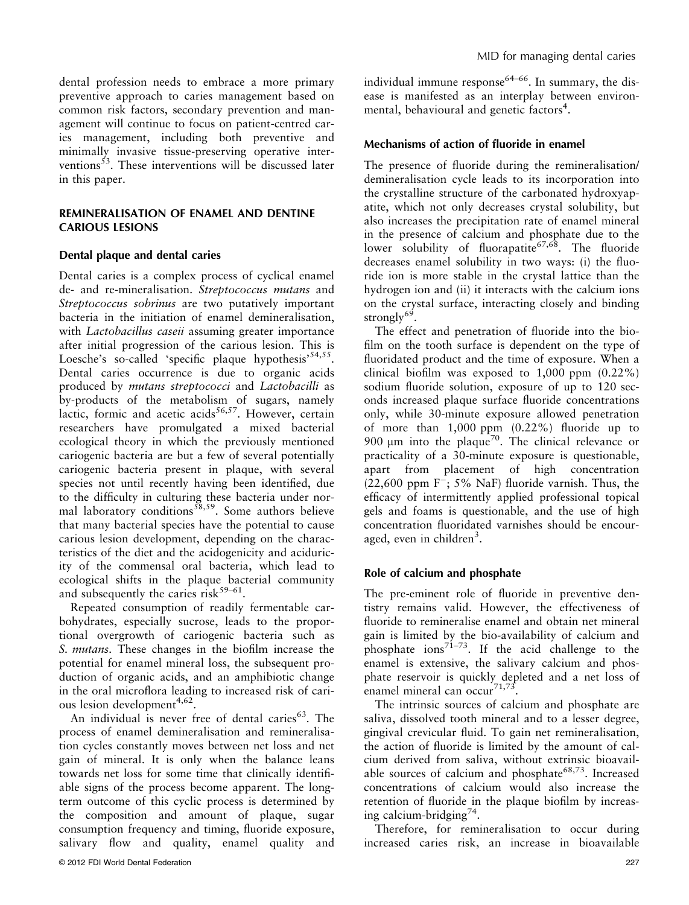dental profession needs to embrace a more primary preventive approach to caries management based on common risk factors, secondary prevention and management will continue to focus on patient-centred caries management, including both preventive and minimally invasive tissue-preserving operative interventions $^{53}$ . These interventions will be discussed later in this paper.

#### REMINERALISATION OF ENAMEL AND DENTINE CARIOUS LESIONS

#### Dental plaque and dental caries

Dental caries is a complex process of cyclical enamel de- and re-mineralisation. Streptococcus mutans and Streptococcus sobrinus are two putatively important bacteria in the initiation of enamel demineralisation, with *Lactobacillus caseii* assuming greater importance after initial progression of the carious lesion. This is Loesche's so-called 'specific plaque hypothesis'<sup>54,55</sup>. Dental caries occurrence is due to organic acids produced by mutans streptococci and Lactobacilli as by-products of the metabolism of sugars, namely lactic, formic and acetic acids<sup>56,57</sup>. However, certain researchers have promulgated a mixed bacterial ecological theory in which the previously mentioned cariogenic bacteria are but a few of several potentially cariogenic bacteria present in plaque, with several species not until recently having been identified, due to the difficulty in culturing these bacteria under normal laboratory conditions  $58,59$ . Some authors believe that many bacterial species have the potential to cause carious lesion development, depending on the characteristics of the diet and the acidogenicity and aciduricity of the commensal oral bacteria, which lead to ecological shifts in the plaque bacterial community and subsequently the caries risk $59-61$ .

Repeated consumption of readily fermentable carbohydrates, especially sucrose, leads to the proportional overgrowth of cariogenic bacteria such as S. mutans. These changes in the biofilm increase the potential for enamel mineral loss, the subsequent production of organic acids, and an amphibiotic change in the oral microflora leading to increased risk of carious lesion development<sup>4,62</sup>.

An individual is never free of dental caries $63$ . The process of enamel demineralisation and remineralisation cycles constantly moves between net loss and net gain of mineral. It is only when the balance leans towards net loss for some time that clinically identifiable signs of the process become apparent. The longterm outcome of this cyclic process is determined by the composition and amount of plaque, sugar consumption frequency and timing, fluoride exposure, salivary flow and quality, enamel quality and individual immune response $64-66$ . In summary, the disease is manifested as an interplay between environmental, behavioural and genetic factors<sup>4</sup>.

#### Mechanisms of action of fluoride in enamel

The presence of fluoride during the remineralisation/ demineralisation cycle leads to its incorporation into the crystalline structure of the carbonated hydroxyapatite, which not only decreases crystal solubility, but also increases the precipitation rate of enamel mineral in the presence of calcium and phosphate due to the lower solubility of fluorapatite<sup>67,68</sup>. The fluoride decreases enamel solubility in two ways: (i) the fluoride ion is more stable in the crystal lattice than the hydrogen ion and (ii) it interacts with the calcium ions on the crystal surface, interacting closely and binding strongly<sup>69</sup>.

The effect and penetration of fluoride into the biofilm on the tooth surface is dependent on the type of fluoridated product and the time of exposure. When a clinical biofilm was exposed to  $1,000$  ppm  $(0.22\%)$ sodium fluoride solution, exposure of up to 120 seconds increased plaque surface fluoride concentrations only, while 30-minute exposure allowed penetration of more than 1,000 ppm (0.22%) fluoride up to 900  $\mu$ m into the plaque<sup>70</sup>. The clinical relevance or practicality of a 30-minute exposure is questionable, apart from placement of high concentration (22,600 ppm  $F^-$ ; 5% NaF) fluoride varnish. Thus, the efficacy of intermittently applied professional topical gels and foams is questionable, and the use of high concentration fluoridated varnishes should be encouraged, even in children<sup>3</sup>.

#### Role of calcium and phosphate

The pre-eminent role of fluoride in preventive dentistry remains valid. However, the effectiveness of fluoride to remineralise enamel and obtain net mineral gain is limited by the bio-availability of calcium and phosphate  $ions^{71-73}$ . If the acid challenge to the enamel is extensive, the salivary calcium and phosphate reservoir is quickly depleted and a net loss of enamel mineral can occur<sup>71,73</sup>.

The intrinsic sources of calcium and phosphate are saliva, dissolved tooth mineral and to a lesser degree, gingival crevicular fluid. To gain net remineralisation, the action of fluoride is limited by the amount of calcium derived from saliva, without extrinsic bioavailable sources of calcium and phosphate<sup>68,73</sup>. Increased concentrations of calcium would also increase the retention of fluoride in the plaque biofilm by increasing calcium-bridging $^{4}$ .

Therefore, for remineralisation to occur during increased caries risk, an increase in bioavailable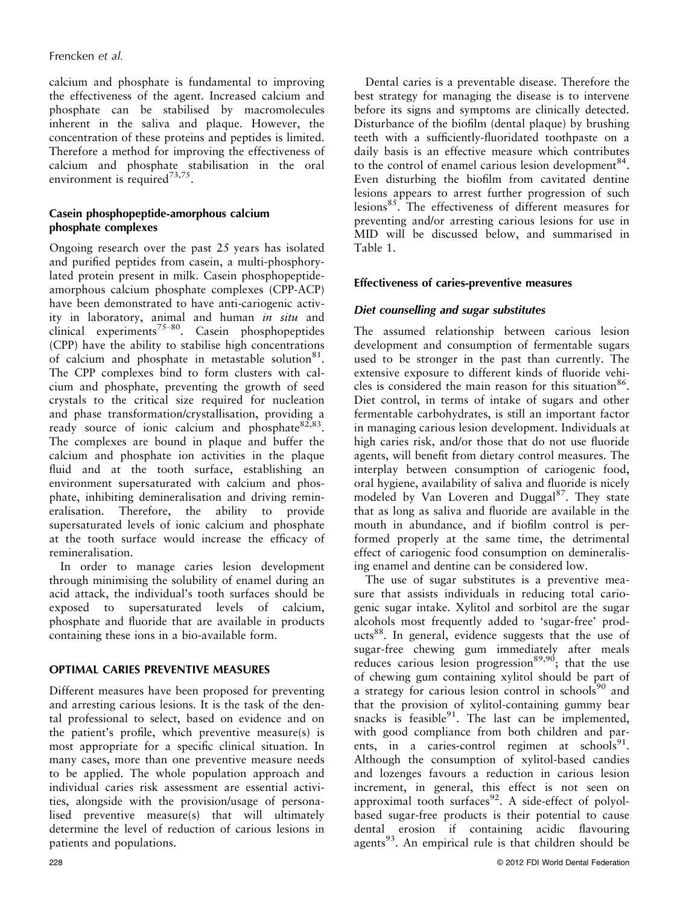calcium and phosphate is fundamental to improving the effectiveness of the agent. Increased calcium and phosphate can be stabilised by macromolecules inherent in the saliva and plaque. However, the concentration of these proteins and peptides is limited. Therefore a method for improving the effectiveness of calcium and phosphate stabilisation in the oral environment is required<sup>73,75</sup>.

## Casein phosphopeptide-amorphous calcium phosphate complexes

Ongoing research over the past 25 years has isolated and purified peptides from casein, a multi-phosphorylated protein present in milk. Casein phosphopeptideamorphous calcium phosphate complexes (CPP-ACP) have been demonstrated to have anti-cariogenic activity in laboratory, animal and human in situ and clinical experiments<sup>75–80</sup>. Casein phosphopeptides (CPP) have the ability to stabilise high concentrations of calcium and phosphate in metastable solution $81$ . The CPP complexes bind to form clusters with calcium and phosphate, preventing the growth of seed crystals to the critical size required for nucleation and phase transformation/crystallisation, providing a ready source of ionic calcium and phosphate  $82,83$ . The complexes are bound in plaque and buffer the calcium and phosphate ion activities in the plaque fluid and at the tooth surface, establishing an environment supersaturated with calcium and phosphate, inhibiting demineralisation and driving remineralisation. Therefore, the ability to provide supersaturated levels of ionic calcium and phosphate at the tooth surface would increase the efficacy of remineralisation.

In order to manage caries lesion development through minimising the solubility of enamel during an acid attack, the individual's tooth surfaces should be exposed to supersaturated levels of calcium, phosphate and fluoride that are available in products containing these ions in a bio-available form.

## OPTIMAL CARIES PREVENTIVE MEASURES

Different measures have been proposed for preventing and arresting carious lesions. It is the task of the dental professional to select, based on evidence and on the patient's profile, which preventive measure(s) is most appropriate for a specific clinical situation. In many cases, more than one preventive measure needs to be applied. The whole population approach and individual caries risk assessment are essential activities, alongside with the provision/usage of personalised preventive measure(s) that will ultimately determine the level of reduction of carious lesions in patients and populations.

Dental caries is a preventable disease. Therefore the best strategy for managing the disease is to intervene before its signs and symptoms are clinically detected. Disturbance of the biofilm (dental plaque) by brushing teeth with a sufficiently-fluoridated toothpaste on a daily basis is an effective measure which contributes to the control of enamel carious lesion development<sup>84</sup>. Even disturbing the biofilm from cavitated dentine lesions appears to arrest further progression of such lesions85. The effectiveness of different measures for preventing and/or arresting carious lesions for use in MID will be discussed below, and summarised in Table 1.

## Effectiveness of caries-preventive measures

#### Diet counselling and sugar substitutes

The assumed relationship between carious lesion development and consumption of fermentable sugars used to be stronger in the past than currently. The extensive exposure to different kinds of fluoride vehicles is considered the main reason for this situation<sup>86</sup>. Diet control, in terms of intake of sugars and other fermentable carbohydrates, is still an important factor in managing carious lesion development. Individuals at high caries risk, and/or those that do not use fluoride agents, will benefit from dietary control measures. The interplay between consumption of cariogenic food, oral hygiene, availability of saliva and fluoride is nicely modeled by Van Loveren and Duggal $^{87}$ . They state that as long as saliva and fluoride are available in the mouth in abundance, and if biofilm control is performed properly at the same time, the detrimental effect of cariogenic food consumption on demineralising enamel and dentine can be considered low.

The use of sugar substitutes is a preventive measure that assists individuals in reducing total cariogenic sugar intake. Xylitol and sorbitol are the sugar alcohols most frequently added to 'sugar-free' products<sup>88</sup>. In general, evidence suggests that the use of sugar-free chewing gum immediately after meals reduces carious lesion progression<sup>89,90</sup>; that the use of chewing gum containing xylitol should be part of a strategy for carious lesion control in schools $90$  and that the provision of xylitol-containing gummy bear snacks is feasible $91$ . The last can be implemented, with good compliance from both children and parents, in a caries-control regimen at schools $^{91}$ . Although the consumption of xylitol-based candies and lozenges favours a reduction in carious lesion increment, in general, this effect is not seen on approximal tooth surfaces $92$ . A side-effect of polyolbased sugar-free products is their potential to cause dental erosion if containing acidic flavouring agents $93$ . An empirical rule is that children should be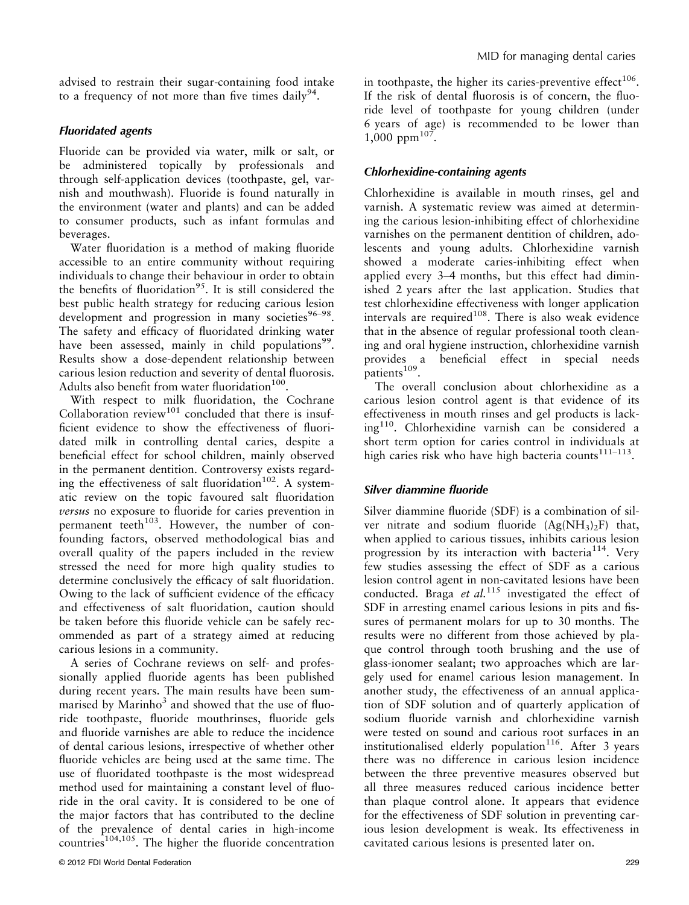advised to restrain their sugar-containing food intake to a frequency of not more than five times daily  $94$ .

#### Fluoridated agents

Fluoride can be provided via water, milk or salt, or be administered topically by professionals and through self-application devices (toothpaste, gel, varnish and mouthwash). Fluoride is found naturally in the environment (water and plants) and can be added to consumer products, such as infant formulas and beverages.

Water fluoridation is a method of making fluoride accessible to an entire community without requiring individuals to change their behaviour in order to obtain the benefits of fluoridation<sup>95</sup>. It is still considered the best public health strategy for reducing carious lesion development and progression in many societies $96-98$ . The safety and efficacy of fluoridated drinking water have been assessed, mainly in child populations<sup>99</sup>. Results show a dose-dependent relationship between carious lesion reduction and severity of dental fluorosis. Adults also benefit from water fluoridation $100$ .

With respect to milk fluoridation, the Cochrane Collaboration review $^{101}$  concluded that there is insufficient evidence to show the effectiveness of fluoridated milk in controlling dental caries, despite a beneficial effect for school children, mainly observed in the permanent dentition. Controversy exists regarding the effectiveness of salt fluoridation<sup>102</sup>. A systematic review on the topic favoured salt fluoridation versus no exposure to fluoride for caries prevention in permanent teeth $^{103}$ . However, the number of confounding factors, observed methodological bias and overall quality of the papers included in the review stressed the need for more high quality studies to determine conclusively the efficacy of salt fluoridation. Owing to the lack of sufficient evidence of the efficacy and effectiveness of salt fluoridation, caution should be taken before this fluoride vehicle can be safely recommended as part of a strategy aimed at reducing carious lesions in a community.

A series of Cochrane reviews on self- and professionally applied fluoride agents has been published during recent years. The main results have been summarised by Marinho<sup>3</sup> and showed that the use of fluoride toothpaste, fluoride mouthrinses, fluoride gels and fluoride varnishes are able to reduce the incidence of dental carious lesions, irrespective of whether other fluoride vehicles are being used at the same time. The use of fluoridated toothpaste is the most widespread method used for maintaining a constant level of fluoride in the oral cavity. It is considered to be one of the major factors that has contributed to the decline of the prevalence of dental caries in high-income countries<sup>104,105</sup>. The higher the fluoride concentration in toothpaste, the higher its caries-preventive effect<sup>106</sup>. If the risk of dental fluorosis is of concern, the fluoride level of toothpaste for young children (under 6 years of age) is recommended to be lower than  $1,000$  ppm<sup>107</sup>.

## Chlorhexidine-containing agents

Chlorhexidine is available in mouth rinses, gel and varnish. A systematic review was aimed at determining the carious lesion-inhibiting effect of chlorhexidine varnishes on the permanent dentition of children, adolescents and young adults. Chlorhexidine varnish showed a moderate caries-inhibiting effect when applied every 3–4 months, but this effect had diminished 2 years after the last application. Studies that test chlorhexidine effectiveness with longer application intervals are required<sup>108</sup>. There is also weak evidence that in the absence of regular professional tooth cleaning and oral hygiene instruction, chlorhexidine varnish provides a beneficial effect in special needs patients<sup>109</sup>.

The overall conclusion about chlorhexidine as a carious lesion control agent is that evidence of its effectiveness in mouth rinses and gel products is lacking110. Chlorhexidine varnish can be considered a short term option for caries control in individuals at high caries risk who have high bacteria counts $111-113$ .

## Silver diammine fluoride

Silver diammine fluoride (SDF) is a combination of silver nitrate and sodium fluoride  $(Ag(NH_3)_2F)$  that, when applied to carious tissues, inhibits carious lesion progression by its interaction with bacteria<sup>114</sup>. Very few studies assessing the effect of SDF as a carious lesion control agent in non-cavitated lesions have been conducted. Braga et al.<sup>115</sup> investigated the effect of SDF in arresting enamel carious lesions in pits and fissures of permanent molars for up to 30 months. The results were no different from those achieved by plaque control through tooth brushing and the use of glass-ionomer sealant; two approaches which are largely used for enamel carious lesion management. In another study, the effectiveness of an annual application of SDF solution and of quarterly application of sodium fluoride varnish and chlorhexidine varnish were tested on sound and carious root surfaces in an institutionalised elderly population<sup>116</sup>. After 3 years there was no difference in carious lesion incidence between the three preventive measures observed but all three measures reduced carious incidence better than plaque control alone. It appears that evidence for the effectiveness of SDF solution in preventing carious lesion development is weak. Its effectiveness in cavitated carious lesions is presented later on.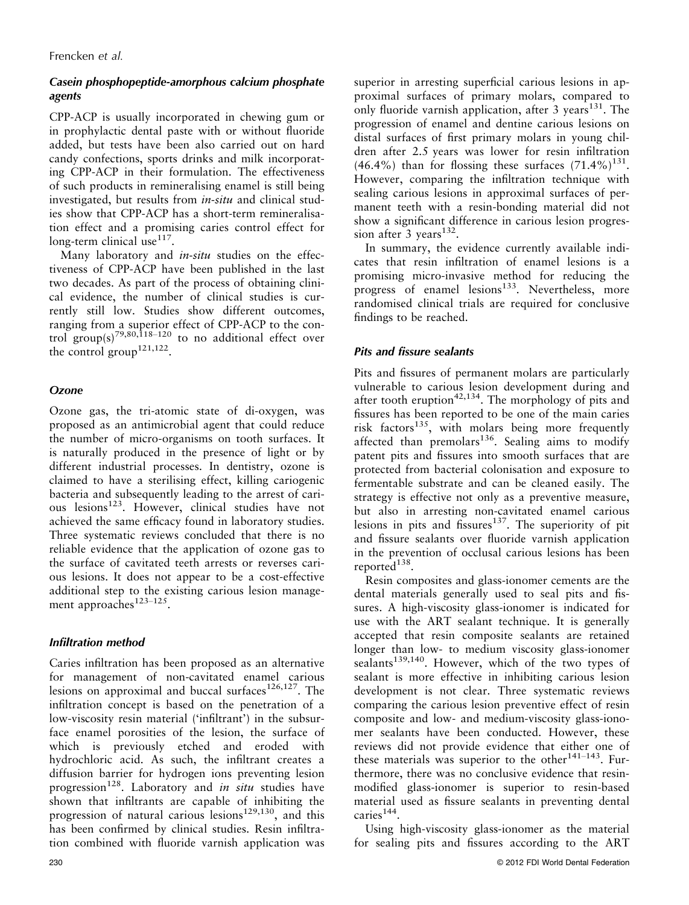## Casein phosphopeptide-amorphous calcium phosphate agents

CPP-ACP is usually incorporated in chewing gum or in prophylactic dental paste with or without fluoride added, but tests have been also carried out on hard candy confections, sports drinks and milk incorporating CPP-ACP in their formulation. The effectiveness of such products in remineralising enamel is still being investigated, but results from in-situ and clinical studies show that CPP-ACP has a short-term remineralisation effect and a promising caries control effect for long-term clinical use $117$ .

Many laboratory and in-situ studies on the effectiveness of CPP-ACP have been published in the last two decades. As part of the process of obtaining clinical evidence, the number of clinical studies is currently still low. Studies show different outcomes, ranging from a superior effect of CPP-ACP to the control group(s)<sup>79,80,118–120</sup> to no additional effect over the control group<sup>121,122</sup>.

#### **Ozone**

Ozone gas, the tri-atomic state of di-oxygen, was proposed as an antimicrobial agent that could reduce the number of micro-organisms on tooth surfaces. It is naturally produced in the presence of light or by different industrial processes. In dentistry, ozone is claimed to have a sterilising effect, killing cariogenic bacteria and subsequently leading to the arrest of carious lesions<sup>123</sup>. However, clinical studies have not achieved the same efficacy found in laboratory studies. Three systematic reviews concluded that there is no reliable evidence that the application of ozone gas to the surface of cavitated teeth arrests or reverses carious lesions. It does not appear to be a cost-effective additional step to the existing carious lesion management approaches<sup>123-125</sup>.

## Infiltration method

Caries infiltration has been proposed as an alternative for management of non-cavitated enamel carious lesions on approximal and buccal surfaces<sup>126,127</sup>. The infiltration concept is based on the penetration of a low-viscosity resin material ('infiltrant') in the subsurface enamel porosities of the lesion, the surface of which is previously etched and eroded with hydrochloric acid. As such, the infiltrant creates a diffusion barrier for hydrogen ions preventing lesion progression<sup>128</sup>. Laboratory and *in situ* studies have shown that infiltrants are capable of inhibiting the progression of natural carious lesions<sup>129,130</sup>, and this has been confirmed by clinical studies. Resin infiltration combined with fluoride varnish application was superior in arresting superficial carious lesions in approximal surfaces of primary molars, compared to only fluoride varnish application, after  $3$  years<sup>131</sup>. The progression of enamel and dentine carious lesions on distal surfaces of first primary molars in young children after 2.5 years was lower for resin infiltration  $(46.4\%)$  than for flossing these surfaces  $(71.4\%)^{131}$ . However, comparing the infiltration technique with sealing carious lesions in approximal surfaces of permanent teeth with a resin-bonding material did not show a significant difference in carious lesion progression after  $3$  years<sup>132</sup>.

In summary, the evidence currently available indicates that resin infiltration of enamel lesions is a promising micro-invasive method for reducing the progress of enamel  $lesions<sup>133</sup>$ . Nevertheless, more randomised clinical trials are required for conclusive findings to be reached.

## Pits and fissure sealants

Pits and fissures of permanent molars are particularly vulnerable to carious lesion development during and after tooth eruption<sup>42,134</sup>. The morphology of pits and fissures has been reported to be one of the main caries risk factors<sup>135</sup>, with molars being more frequently affected than premolars<sup>136</sup>. Sealing aims to modify patent pits and fissures into smooth surfaces that are protected from bacterial colonisation and exposure to fermentable substrate and can be cleaned easily. The strategy is effective not only as a preventive measure, but also in arresting non-cavitated enamel carious lesions in pits and fissures<sup>137</sup>. The superiority of pit and fissure sealants over fluoride varnish application in the prevention of occlusal carious lesions has been reported $138$ .

Resin composites and glass-ionomer cements are the dental materials generally used to seal pits and fissures. A high-viscosity glass-ionomer is indicated for use with the ART sealant technique. It is generally accepted that resin composite sealants are retained longer than low- to medium viscosity glass-ionomer sealants<sup>139,140</sup>. However, which of the two types of sealant is more effective in inhibiting carious lesion development is not clear. Three systematic reviews comparing the carious lesion preventive effect of resin composite and low- and medium-viscosity glass-ionomer sealants have been conducted. However, these reviews did not provide evidence that either one of these materials was superior to the other<sup>141–143</sup>. Furthermore, there was no conclusive evidence that resinmodified glass-ionomer is superior to resin-based material used as fissure sealants in preventing dental caries<sup>144</sup>.

Using high-viscosity glass-ionomer as the material for sealing pits and fissures according to the ART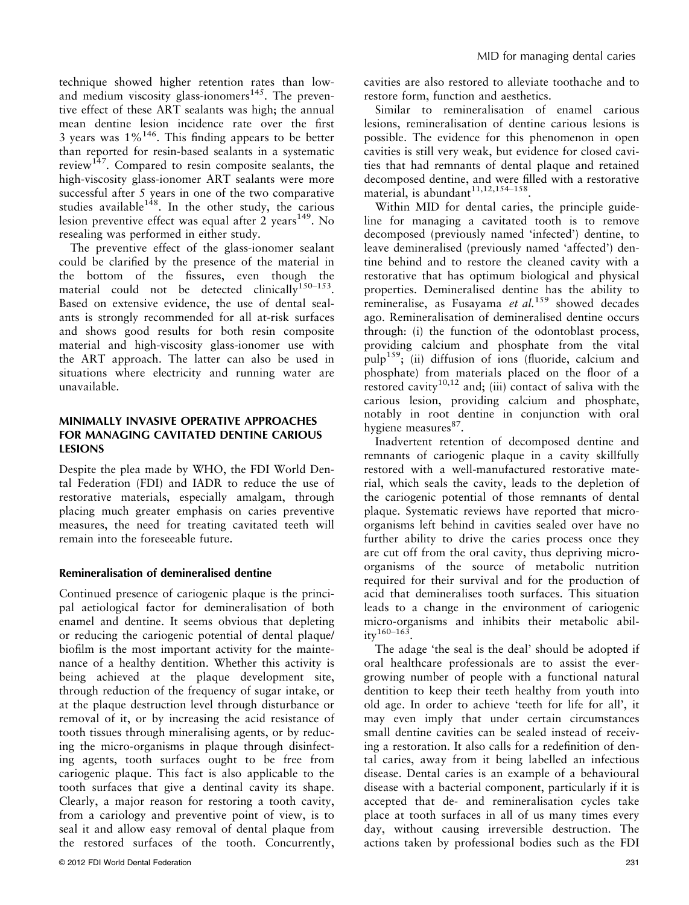technique showed higher retention rates than lowand medium viscosity glass-ionomers<sup>145</sup>. The preventive effect of these ART sealants was high; the annual mean dentine lesion incidence rate over the first 3 years was  $1\%$ <sup>146</sup>. This finding appears to be better than reported for resin-based sealants in a systematic review<sup>147</sup>. Compared to resin composite sealants, the high-viscosity glass-ionomer ART sealants were more successful after 5 years in one of the two comparative studies available<sup>148</sup>. In the other study, the carious lesion preventive effect was equal after 2 years<sup>149</sup>. No resealing was performed in either study.

The preventive effect of the glass-ionomer sealant could be clarified by the presence of the material in the bottom of the fissures, even though the material could not be detected clinically<sup>150-153</sup>. Based on extensive evidence, the use of dental sealants is strongly recommended for all at-risk surfaces and shows good results for both resin composite material and high-viscosity glass-ionomer use with the ART approach. The latter can also be used in situations where electricity and running water are unavailable.

#### MINIMALLY INVASIVE OPERATIVE APPROACHES FOR MANAGING CAVITATED DENTINE CARIOUS LESIONS

Despite the plea made by WHO, the FDI World Dental Federation (FDI) and IADR to reduce the use of restorative materials, especially amalgam, through placing much greater emphasis on caries preventive measures, the need for treating cavitated teeth will remain into the foreseeable future.

#### Remineralisation of demineralised dentine

Continued presence of cariogenic plaque is the principal aetiological factor for demineralisation of both enamel and dentine. It seems obvious that depleting or reducing the cariogenic potential of dental plaque/ biofilm is the most important activity for the maintenance of a healthy dentition. Whether this activity is being achieved at the plaque development site, through reduction of the frequency of sugar intake, or at the plaque destruction level through disturbance or removal of it, or by increasing the acid resistance of tooth tissues through mineralising agents, or by reducing the micro-organisms in plaque through disinfecting agents, tooth surfaces ought to be free from cariogenic plaque. This fact is also applicable to the tooth surfaces that give a dentinal cavity its shape. Clearly, a major reason for restoring a tooth cavity, from a cariology and preventive point of view, is to seal it and allow easy removal of dental plaque from the restored surfaces of the tooth. Concurrently, cavities are also restored to alleviate toothache and to restore form, function and aesthetics.

Similar to remineralisation of enamel carious lesions, remineralisation of dentine carious lesions is possible. The evidence for this phenomenon in open cavities is still very weak, but evidence for closed cavities that had remnants of dental plaque and retained decomposed dentine, and were filled with a restorative material, is abundant<sup>11,12,154–158</sup>.

Within MID for dental caries, the principle guideline for managing a cavitated tooth is to remove decomposed (previously named 'infected') dentine, to leave demineralised (previously named 'affected') dentine behind and to restore the cleaned cavity with a restorative that has optimum biological and physical properties. Demineralised dentine has the ability to remineralise, as Fusayama et  $al.^{159}$  showed decades ago. Remineralisation of demineralised dentine occurs through: (i) the function of the odontoblast process, providing calcium and phosphate from the vital pulp<sup>159</sup>; (ii) diffusion of ions (fluoride, calcium and phosphate) from materials placed on the floor of a restored cavity<sup>10,12</sup> and; (iii) contact of saliva with the carious lesion, providing calcium and phosphate, notably in root dentine in conjunction with oral hygiene measures<sup>87</sup>.

Inadvertent retention of decomposed dentine and remnants of cariogenic plaque in a cavity skillfully restored with a well-manufactured restorative material, which seals the cavity, leads to the depletion of the cariogenic potential of those remnants of dental plaque. Systematic reviews have reported that microorganisms left behind in cavities sealed over have no further ability to drive the caries process once they are cut off from the oral cavity, thus depriving microorganisms of the source of metabolic nutrition required for their survival and for the production of acid that demineralises tooth surfaces. This situation leads to a change in the environment of cariogenic micro-organisms and inhibits their metabolic abil $itv^{160-163}$ .

The adage 'the seal is the deal' should be adopted if oral healthcare professionals are to assist the evergrowing number of people with a functional natural dentition to keep their teeth healthy from youth into old age. In order to achieve 'teeth for life for all', it may even imply that under certain circumstances small dentine cavities can be sealed instead of receiving a restoration. It also calls for a redefinition of dental caries, away from it being labelled an infectious disease. Dental caries is an example of a behavioural disease with a bacterial component, particularly if it is accepted that de- and remineralisation cycles take place at tooth surfaces in all of us many times every day, without causing irreversible destruction. The actions taken by professional bodies such as the FDI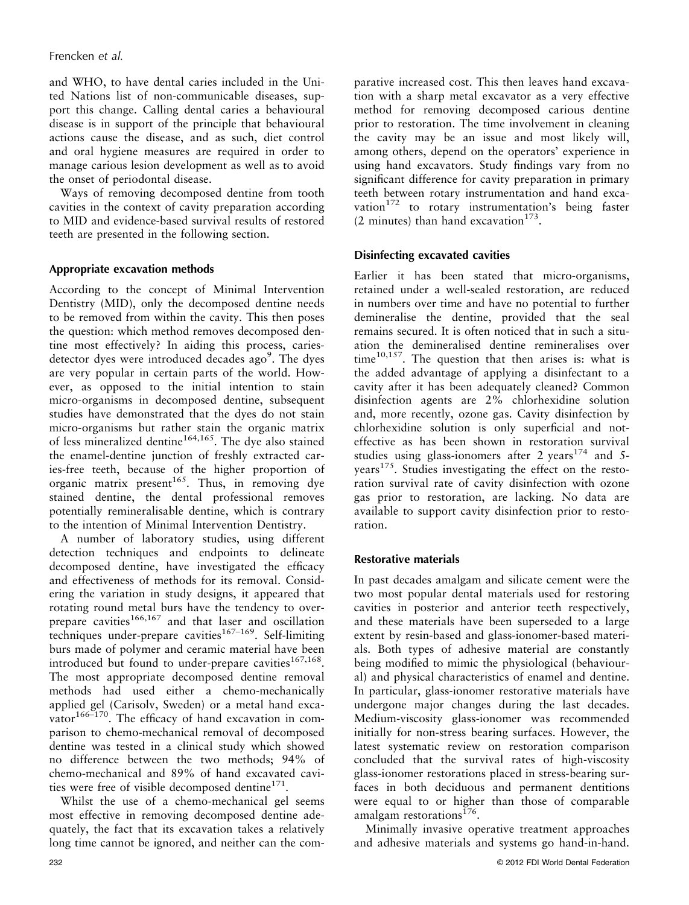and WHO, to have dental caries included in the United Nations list of non-communicable diseases, support this change. Calling dental caries a behavioural disease is in support of the principle that behavioural actions cause the disease, and as such, diet control and oral hygiene measures are required in order to manage carious lesion development as well as to avoid the onset of periodontal disease.

Ways of removing decomposed dentine from tooth cavities in the context of cavity preparation according to MID and evidence-based survival results of restored teeth are presented in the following section.

## Appropriate excavation methods

According to the concept of Minimal Intervention Dentistry (MID), only the decomposed dentine needs to be removed from within the cavity. This then poses the question: which method removes decomposed dentine most effectively? In aiding this process, cariesdetector dyes were introduced decades ago<sup>9</sup>. The dyes are very popular in certain parts of the world. However, as opposed to the initial intention to stain micro-organisms in decomposed dentine, subsequent studies have demonstrated that the dyes do not stain micro-organisms but rather stain the organic matrix of less mineralized dentine<sup>164,165</sup>. The dye also stained the enamel-dentine junction of freshly extracted caries-free teeth, because of the higher proportion of organic matrix present $^{165}$ . Thus, in removing dye stained dentine, the dental professional removes potentially remineralisable dentine, which is contrary to the intention of Minimal Intervention Dentistry.

A number of laboratory studies, using different detection techniques and endpoints to delineate decomposed dentine, have investigated the efficacy and effectiveness of methods for its removal. Considering the variation in study designs, it appeared that rotating round metal burs have the tendency to overprepare cavities166,167 and that laser and oscillation techniques under-prepare cavities<sup>167–169</sup>. Self-limiting burs made of polymer and ceramic material have been introduced but found to under-prepare cavities $167,168$ . The most appropriate decomposed dentine removal methods had used either a chemo-mechanically applied gel (Carisolv, Sweden) or a metal hand excavator $166-170$ . The efficacy of hand excavation in comparison to chemo-mechanical removal of decomposed dentine was tested in a clinical study which showed no difference between the two methods; 94% of chemo-mechanical and 89% of hand excavated cavities were free of visible decomposed dentine<sup>171</sup>.

Whilst the use of a chemo-mechanical gel seems most effective in removing decomposed dentine adequately, the fact that its excavation takes a relatively long time cannot be ignored, and neither can the comparative increased cost. This then leaves hand excavation with a sharp metal excavator as a very effective method for removing decomposed carious dentine prior to restoration. The time involvement in cleaning the cavity may be an issue and most likely will, among others, depend on the operators' experience in using hand excavators. Study findings vary from no significant difference for cavity preparation in primary teeth between rotary instrumentation and hand excavation<sup>172</sup> to rotary instrumentation's being faster (2 minutes) than hand excavation $173$ .

#### Disinfecting excavated cavities

Earlier it has been stated that micro-organisms, retained under a well-sealed restoration, are reduced in numbers over time and have no potential to further demineralise the dentine, provided that the seal remains secured. It is often noticed that in such a situation the demineralised dentine remineralises over time $10,157$ . The question that then arises is: what is the added advantage of applying a disinfectant to a cavity after it has been adequately cleaned? Common disinfection agents are 2% chlorhexidine solution and, more recently, ozone gas. Cavity disinfection by chlorhexidine solution is only superficial and noteffective as has been shown in restoration survival studies using glass-ionomers after 2 years $174$  and 5years<sup> $175$ </sup>. Studies investigating the effect on the restoration survival rate of cavity disinfection with ozone gas prior to restoration, are lacking. No data are available to support cavity disinfection prior to restoration.

#### Restorative materials

In past decades amalgam and silicate cement were the two most popular dental materials used for restoring cavities in posterior and anterior teeth respectively, and these materials have been superseded to a large extent by resin-based and glass-ionomer-based materials. Both types of adhesive material are constantly being modified to mimic the physiological (behavioural) and physical characteristics of enamel and dentine. In particular, glass-ionomer restorative materials have undergone major changes during the last decades. Medium-viscosity glass-ionomer was recommended initially for non-stress bearing surfaces. However, the latest systematic review on restoration comparison concluded that the survival rates of high-viscosity glass-ionomer restorations placed in stress-bearing surfaces in both deciduous and permanent dentitions were equal to or higher than those of comparable amalgam restorations<sup> $176$ </sup>.

Minimally invasive operative treatment approaches and adhesive materials and systems go hand-in-hand.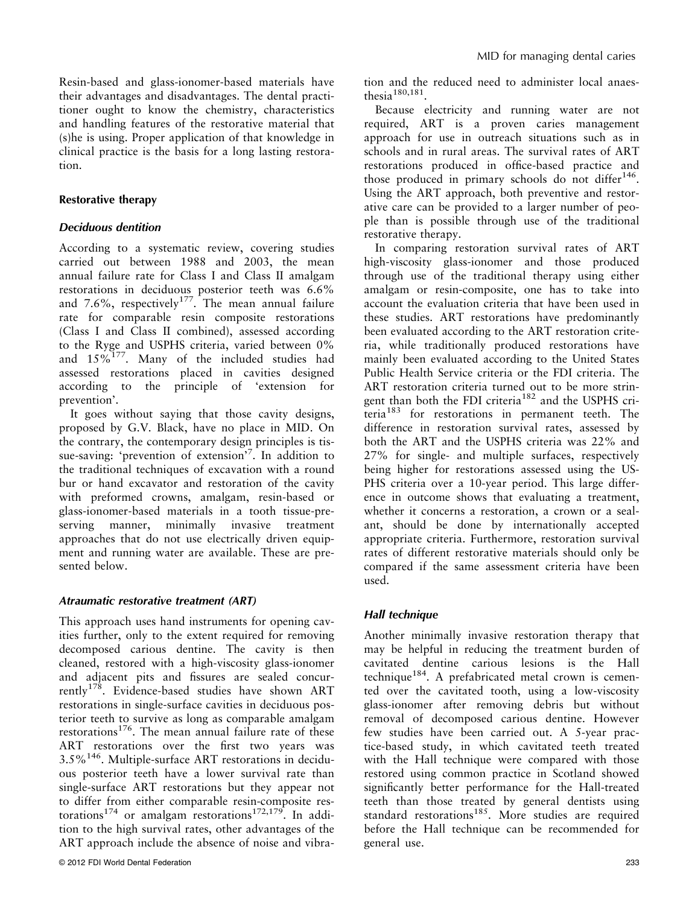Resin-based and glass-ionomer-based materials have their advantages and disadvantages. The dental practitioner ought to know the chemistry, characteristics and handling features of the restorative material that (s)he is using. Proper application of that knowledge in clinical practice is the basis for a long lasting restoration.

## Restorative therapy

#### Deciduous dentition

According to a systematic review, covering studies carried out between 1988 and 2003, the mean annual failure rate for Class I and Class II amalgam restorations in deciduous posterior teeth was 6.6% and 7.6%, respectively<sup>177</sup>. The mean annual failure rate for comparable resin composite restorations (Class I and Class II combined), assessed according to the Ryge and USPHS criteria, varied between 0% and  $15\%$ <sup>177</sup>. Many of the included studies had assessed restorations placed in cavities designed according to the principle of 'extension for prevention'.

It goes without saying that those cavity designs, proposed by G.V. Black, have no place in MID. On the contrary, the contemporary design principles is tissue-saving: 'prevention of extension'<sup>7</sup>. In addition to the traditional techniques of excavation with a round bur or hand excavator and restoration of the cavity with preformed crowns, amalgam, resin-based or glass-ionomer-based materials in a tooth tissue-preserving manner, minimally invasive treatment approaches that do not use electrically driven equipment and running water are available. These are presented below.

## Atraumatic restorative treatment (ART)

This approach uses hand instruments for opening cavities further, only to the extent required for removing decomposed carious dentine. The cavity is then cleaned, restored with a high-viscosity glass-ionomer and adjacent pits and fissures are sealed concurrently<sup>178</sup>. Evidence-based studies have shown ART restorations in single-surface cavities in deciduous posterior teeth to survive as long as comparable amalgam restorations<sup>176</sup>. The mean annual failure rate of these ART restorations over the first two years was 3.5%146. Multiple-surface ART restorations in deciduous posterior teeth have a lower survival rate than single-surface ART restorations but they appear not to differ from either comparable resin-composite restorations<sup>174</sup> or amalgam restorations<sup>172,179</sup>. In addition to the high survival rates, other advantages of the ART approach include the absence of noise and vibration and the reduced need to administer local anaesthesia<sup>180,181</sup>

Because electricity and running water are not required, ART is a proven caries management approach for use in outreach situations such as in schools and in rural areas. The survival rates of ART restorations produced in office-based practice and those produced in primary schools do not differ<sup>146</sup>. Using the ART approach, both preventive and restorative care can be provided to a larger number of people than is possible through use of the traditional restorative therapy.

In comparing restoration survival rates of ART high-viscosity glass-ionomer and those produced through use of the traditional therapy using either amalgam or resin-composite, one has to take into account the evaluation criteria that have been used in these studies. ART restorations have predominantly been evaluated according to the ART restoration criteria, while traditionally produced restorations have mainly been evaluated according to the United States Public Health Service criteria or the FDI criteria. The ART restoration criteria turned out to be more stringent than both the FDI criteria<sup>182</sup> and the USPHS criteria<sup>183</sup> for restorations in permanent teeth. The difference in restoration survival rates, assessed by both the ART and the USPHS criteria was 22% and 27% for single- and multiple surfaces, respectively being higher for restorations assessed using the US-PHS criteria over a 10-year period. This large difference in outcome shows that evaluating a treatment, whether it concerns a restoration, a crown or a sealant, should be done by internationally accepted appropriate criteria. Furthermore, restoration survival rates of different restorative materials should only be compared if the same assessment criteria have been used.

## Hall technique

Another minimally invasive restoration therapy that may be helpful in reducing the treatment burden of cavitated dentine carious lesions is the Hall technique<sup>184</sup>. A prefabricated metal crown is cemented over the cavitated tooth, using a low-viscosity glass-ionomer after removing debris but without removal of decomposed carious dentine. However few studies have been carried out. A 5-year practice-based study, in which cavitated teeth treated with the Hall technique were compared with those restored using common practice in Scotland showed significantly better performance for the Hall-treated teeth than those treated by general dentists using standard restorations<sup>185</sup>. More studies are required before the Hall technique can be recommended for general use.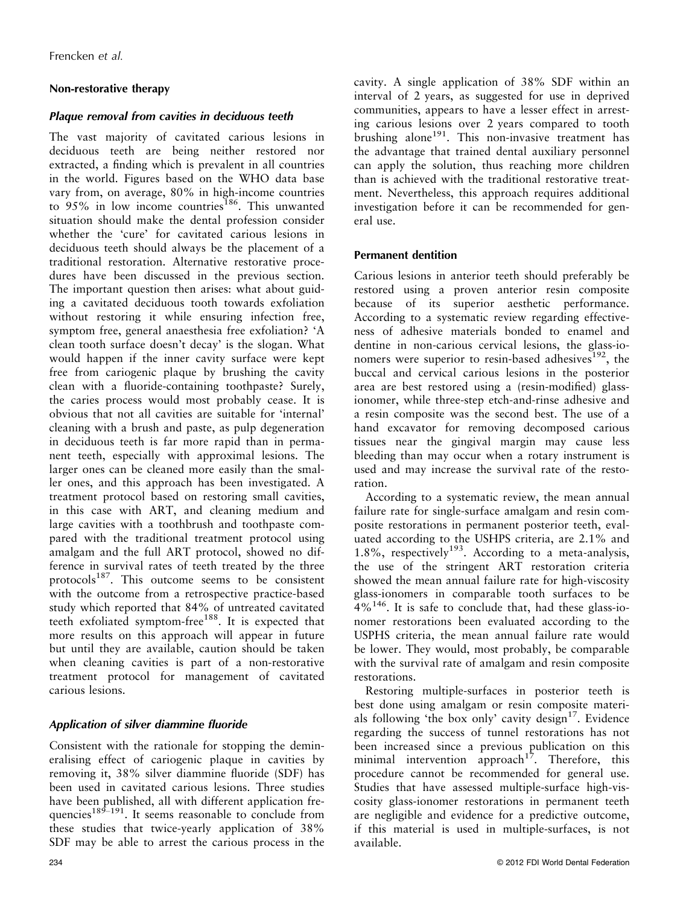## Non-restorative therapy

## Plaque removal from cavities in deciduous teeth

The vast majority of cavitated carious lesions in deciduous teeth are being neither restored nor extracted, a finding which is prevalent in all countries in the world. Figures based on the WHO data base vary from, on average, 80% in high-income countries to  $95\%$  in low income countries<sup>186</sup>. This unwanted situation should make the dental profession consider whether the 'cure' for cavitated carious lesions in deciduous teeth should always be the placement of a traditional restoration. Alternative restorative procedures have been discussed in the previous section. The important question then arises: what about guiding a cavitated deciduous tooth towards exfoliation without restoring it while ensuring infection free, symptom free, general anaesthesia free exfoliation? 'A clean tooth surface doesn't decay' is the slogan. What would happen if the inner cavity surface were kept free from cariogenic plaque by brushing the cavity clean with a fluoride-containing toothpaste? Surely, the caries process would most probably cease. It is obvious that not all cavities are suitable for 'internal' cleaning with a brush and paste, as pulp degeneration in deciduous teeth is far more rapid than in permanent teeth, especially with approximal lesions. The larger ones can be cleaned more easily than the smaller ones, and this approach has been investigated. A treatment protocol based on restoring small cavities, in this case with ART, and cleaning medium and large cavities with a toothbrush and toothpaste compared with the traditional treatment protocol using amalgam and the full ART protocol, showed no difference in survival rates of teeth treated by the three protocols<sup>187</sup>. This outcome seems to be consistent with the outcome from a retrospective practice-based study which reported that 84% of untreated cavitated teeth exfoliated symptom-free<sup>188</sup>. It is expected that more results on this approach will appear in future but until they are available, caution should be taken when cleaning cavities is part of a non-restorative treatment protocol for management of cavitated carious lesions.

## Application of silver diammine fluoride

Consistent with the rationale for stopping the demineralising effect of cariogenic plaque in cavities by removing it, 38% silver diammine fluoride (SDF) has been used in cavitated carious lesions. Three studies have been published, all with different application frequencies<sup>189–191</sup>. It seems reasonable to conclude from these studies that twice-yearly application of 38% SDF may be able to arrest the carious process in the

cavity. A single application of 38% SDF within an interval of 2 years, as suggested for use in deprived communities, appears to have a lesser effect in arresting carious lesions over 2 years compared to tooth brushing alone<sup>191</sup>. This non-invasive treatment has the advantage that trained dental auxiliary personnel can apply the solution, thus reaching more children than is achieved with the traditional restorative treatment. Nevertheless, this approach requires additional investigation before it can be recommended for general use.

## Permanent dentition

Carious lesions in anterior teeth should preferably be restored using a proven anterior resin composite because of its superior aesthetic performance. According to a systematic review regarding effectiveness of adhesive materials bonded to enamel and dentine in non-carious cervical lesions, the glass-ionomers were superior to resin-based adhesives<sup>192</sup>, the buccal and cervical carious lesions in the posterior area are best restored using a (resin-modified) glassionomer, while three-step etch-and-rinse adhesive and a resin composite was the second best. The use of a hand excavator for removing decomposed carious tissues near the gingival margin may cause less bleeding than may occur when a rotary instrument is used and may increase the survival rate of the restoration.

According to a systematic review, the mean annual failure rate for single-surface amalgam and resin composite restorations in permanent posterior teeth, evaluated according to the USHPS criteria, are 2.1% and 1.8%, respectively<sup>193</sup>. According to a meta-analysis, the use of the stringent ART restoration criteria showed the mean annual failure rate for high-viscosity glass-ionomers in comparable tooth surfaces to be  $4\%$ <sup>146</sup>. It is safe to conclude that, had these glass-ionomer restorations been evaluated according to the USPHS criteria, the mean annual failure rate would be lower. They would, most probably, be comparable with the survival rate of amalgam and resin composite restorations.

Restoring multiple-surfaces in posterior teeth is best done using amalgam or resin composite materials following 'the box only' cavity design<sup>17</sup>. Evidence regarding the success of tunnel restorations has not been increased since a previous publication on this minimal intervention approach<sup>17</sup>. Therefore, this procedure cannot be recommended for general use. Studies that have assessed multiple-surface high-viscosity glass-ionomer restorations in permanent teeth are negligible and evidence for a predictive outcome, if this material is used in multiple-surfaces, is not available.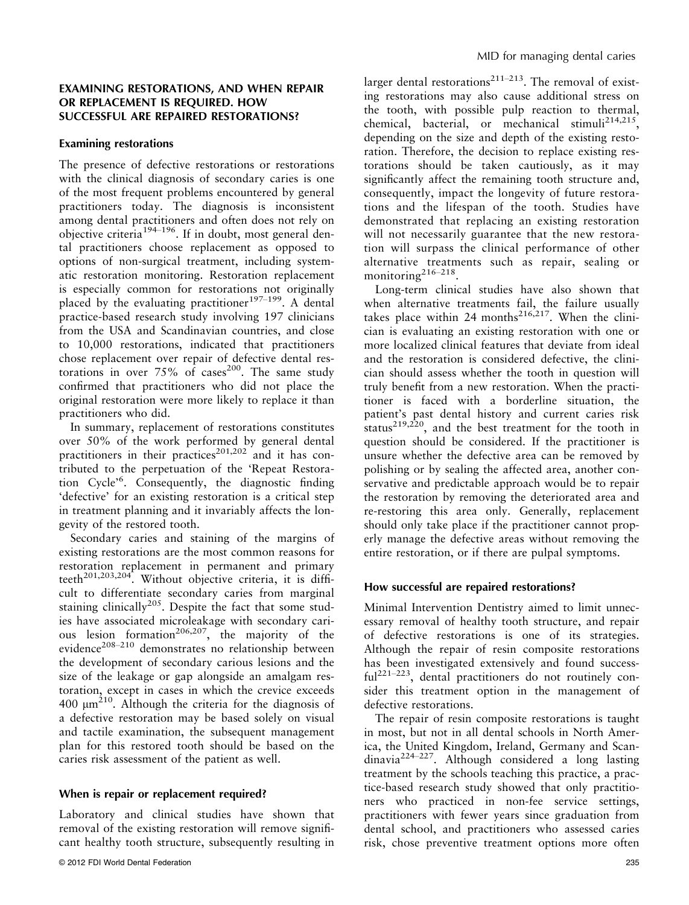#### EXAMINING RESTORATIONS, AND WHEN REPAIR OR REPLACEMENT IS REQUIRED. HOW SUCCESSFUL ARE REPAIRED RESTORATIONS?

#### Examining restorations

The presence of defective restorations or restorations with the clinical diagnosis of secondary caries is one of the most frequent problems encountered by general practitioners today. The diagnosis is inconsistent among dental practitioners and often does not rely on objective criteria<sup>194–196</sup>. If in doubt, most general dental practitioners choose replacement as opposed to options of non-surgical treatment, including systematic restoration monitoring. Restoration replacement is especially common for restorations not originally placed by the evaluating practitioner<sup>197–199</sup>. A dental practice-based research study involving 197 clinicians from the USA and Scandinavian countries, and close to 10,000 restorations, indicated that practitioners chose replacement over repair of defective dental restorations in over  $75\%$  of cases<sup>200</sup>. The same study confirmed that practitioners who did not place the original restoration were more likely to replace it than practitioners who did.

In summary, replacement of restorations constitutes over 50% of the work performed by general dental practitioners in their practices<sup>201,202</sup> and it has contributed to the perpetuation of the 'Repeat Restoration Cycle'<sup>6</sup> . Consequently, the diagnostic finding 'defective' for an existing restoration is a critical step in treatment planning and it invariably affects the longevity of the restored tooth.

Secondary caries and staining of the margins of existing restorations are the most common reasons for restoration replacement in permanent and primary teeth<sup>201,203,204</sup>. Without objective criteria, it is difficult to differentiate secondary caries from marginal staining clinically<sup>205</sup>. Despite the fact that some studies have associated microleakage with secondary carious lesion formation<sup>206,207</sup>, the majority of the evidence<sup>208–210</sup> demonstrates no relationship between the development of secondary carious lesions and the size of the leakage or gap alongside an amalgam restoration, except in cases in which the crevice exceeds 400  $\mu$ m<sup>210</sup>. Although the criteria for the diagnosis of a defective restoration may be based solely on visual and tactile examination, the subsequent management plan for this restored tooth should be based on the caries risk assessment of the patient as well.

#### When is repair or replacement required?

Laboratory and clinical studies have shown that removal of the existing restoration will remove significant healthy tooth structure, subsequently resulting in larger dental restorations<sup>211–213</sup>. The removal of existing restorations may also cause additional stress on the tooth, with possible pulp reaction to thermal, chemical, bacterial, or mechanical stimuli<sup>214,215</sup> depending on the size and depth of the existing restoration. Therefore, the decision to replace existing restorations should be taken cautiously, as it may significantly affect the remaining tooth structure and, consequently, impact the longevity of future restorations and the lifespan of the tooth. Studies have demonstrated that replacing an existing restoration will not necessarily guarantee that the new restoration will surpass the clinical performance of other alternative treatments such as repair, sealing or monitoring $216-218$ .

Long-term clinical studies have also shown that when alternative treatments fail, the failure usually takes place within 24 months<sup>216,217</sup>. When the clinician is evaluating an existing restoration with one or more localized clinical features that deviate from ideal and the restoration is considered defective, the clinician should assess whether the tooth in question will truly benefit from a new restoration. When the practitioner is faced with a borderline situation, the patient's past dental history and current caries risk status<sup>219,220</sup>, and the best treatment for the tooth in question should be considered. If the practitioner is unsure whether the defective area can be removed by polishing or by sealing the affected area, another conservative and predictable approach would be to repair the restoration by removing the deteriorated area and re-restoring this area only. Generally, replacement should only take place if the practitioner cannot properly manage the defective areas without removing the entire restoration, or if there are pulpal symptoms.

#### How successful are repaired restorations?

Minimal Intervention Dentistry aimed to limit unnecessary removal of healthy tooth structure, and repair of defective restorations is one of its strategies. Although the repair of resin composite restorations has been investigated extensively and found success- $\text{ful}^{221-223}$ , dental practitioners do not routinely consider this treatment option in the management of defective restorations.

The repair of resin composite restorations is taught in most, but not in all dental schools in North America, the United Kingdom, Ireland, Germany and Scandinavia224–227. Although considered a long lasting treatment by the schools teaching this practice, a practice-based research study showed that only practitioners who practiced in non-fee service settings, practitioners with fewer years since graduation from dental school, and practitioners who assessed caries risk, chose preventive treatment options more often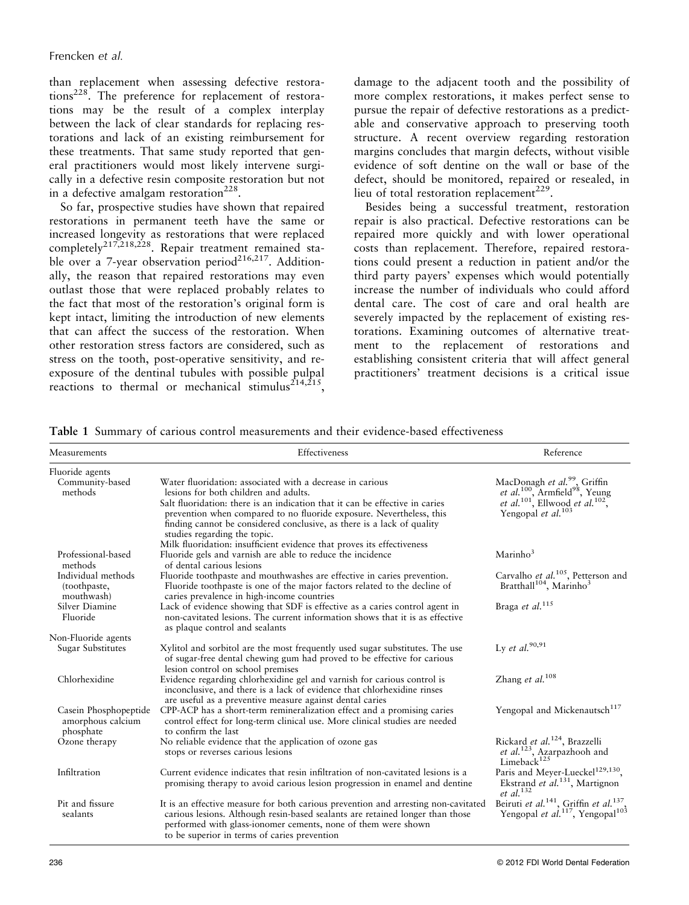than replacement when assessing defective restora $tions<sup>228</sup>$ . The preference for replacement of restorations may be the result of a complex interplay between the lack of clear standards for replacing restorations and lack of an existing reimbursement for these treatments. That same study reported that general practitioners would most likely intervene surgically in a defective resin composite restoration but not in a defective amalgam restoration<sup>228</sup>.

So far, prospective studies have shown that repaired restorations in permanent teeth have the same or increased longevity as restorations that were replaced completely<sup>217,218,228</sup>. Repair treatment remained stable over a 7-year observation period<sup>216,217</sup>. Additionally, the reason that repaired restorations may even outlast those that were replaced probably relates to the fact that most of the restoration's original form is kept intact, limiting the introduction of new elements that can affect the success of the restoration. When other restoration stress factors are considered, such as stress on the tooth, post-operative sensitivity, and reexposure of the dentinal tubules with possible pulpal reactions to thermal or mechanical stimulus<sup>214,215</sup>.

damage to the adjacent tooth and the possibility of more complex restorations, it makes perfect sense to pursue the repair of defective restorations as a predictable and conservative approach to preserving tooth structure. A recent overview regarding restoration margins concludes that margin defects, without visible evidence of soft dentine on the wall or base of the defect, should be monitored, repaired or resealed, in lieu of total restoration replacement<sup>229</sup>.

Besides being a successful treatment, restoration repair is also practical. Defective restorations can be repaired more quickly and with lower operational costs than replacement. Therefore, repaired restorations could present a reduction in patient and/or the third party payers' expenses which would potentially increase the number of individuals who could afford dental care. The cost of care and oral health are severely impacted by the replacement of existing restorations. Examining outcomes of alternative treatment to the replacement of restorations and establishing consistent criteria that will affect general practitioners' treatment decisions is a critical issue

| Measurements                       | Effectiveness                                                                                                                                                                                                  |                                                                     |  |
|------------------------------------|----------------------------------------------------------------------------------------------------------------------------------------------------------------------------------------------------------------|---------------------------------------------------------------------|--|
| Fluoride agents<br>Community-based | Water fluoridation: associated with a decrease in carious                                                                                                                                                      | MacDonagh et al. <sup>99</sup> , Griffin                            |  |
| methods                            | lesions for both children and adults.                                                                                                                                                                          | et al. <sup>100</sup> , Armfield <sup>98</sup> , Yeung              |  |
|                                    | Salt fluoridation: there is an indication that it can be effective in caries                                                                                                                                   | et al. <sup>101</sup> , Ellwood et al. <sup>102</sup> ,             |  |
|                                    | prevention when compared to no fluoride exposure. Nevertheless, this<br>finding cannot be considered conclusive, as there is a lack of quality<br>studies regarding the topic.                                 | Yengopal et al. <sup>103</sup>                                      |  |
|                                    | Milk fluoridation: insufficient evidence that proves its effectiveness                                                                                                                                         |                                                                     |  |
| Professional-based<br>methods      | Fluoride gels and varnish are able to reduce the incidence<br>of dental carious lesions                                                                                                                        | Marinho <sup>3</sup>                                                |  |
| Individual methods                 | Fluoride toothpaste and mouthwashes are effective in caries prevention.                                                                                                                                        | Carvalho et al. <sup>105</sup> , Petterson and                      |  |
| (toothpaste,<br>mouthwash)         | Fluoride toothpaste is one of the major factors related to the decline of<br>caries prevalence in high-income countries                                                                                        | Bratthall <sup>104</sup> , Marinho <sup>3</sup>                     |  |
| Silver Diamine                     | Lack of evidence showing that SDF is effective as a caries control agent in                                                                                                                                    | Braga et al. <sup>115</sup>                                         |  |
| Fluoride                           | non-cavitated lesions. The current information shows that it is as effective<br>as plaque control and sealants                                                                                                 |                                                                     |  |
| Non-Fluoride agents                |                                                                                                                                                                                                                |                                                                     |  |
| Sugar Substitutes                  | Xylitol and sorbitol are the most frequently used sugar substitutes. The use<br>of sugar-free dental chewing gum had proved to be effective for carious<br>lesion control on school premises                   | Ly et al. $90,91$                                                   |  |
| Chlorhexidine                      | Evidence regarding chlorhexidine gel and varnish for carious control is<br>inconclusive, and there is a lack of evidence that chlorhexidine rinses<br>are useful as a preventive measure against dental caries | Zhang et al. $108$                                                  |  |
| Casein Phosphopeptide              | CPP-ACP has a short-term remineralization effect and a promising caries                                                                                                                                        | Yengopal and Mickenautsch <sup>117</sup>                            |  |
| amorphous calcium<br>phosphate     | control effect for long-term clinical use. More clinical studies are needed<br>to confirm the last                                                                                                             |                                                                     |  |
| Ozone therapy                      | No reliable evidence that the application of ozone gas                                                                                                                                                         | Rickard et al. <sup>124</sup> , Brazzelli                           |  |
|                                    | stops or reverses carious lesions                                                                                                                                                                              | et al. <sup>123</sup> , Azarpazhooh and<br>Limeback <sup>125</sup>  |  |
| Infiltration                       | Current evidence indicates that resin infiltration of non-cavitated lesions is a                                                                                                                               | Paris and Meyer-Lueckel <sup>129,130</sup> ,                        |  |
|                                    | promising therapy to avoid carious lesion progression in enamel and dentine                                                                                                                                    | Ekstrand et al. <sup>131</sup> , Martignon<br>et al. <sup>132</sup> |  |
| Pit and fissure                    | It is an effective measure for both carious prevention and arresting non-cavitated                                                                                                                             | Beiruti et al. <sup>141</sup> , Griffin et al. <sup>137</sup>       |  |
| sealants                           | carious lesions. Although resin-based sealants are retained longer than those                                                                                                                                  | Yengopal et al. <sup>117</sup> , Yengopal <sup>103</sup>            |  |
|                                    | performed with glass-ionomer cements, none of them were shown<br>to be superior in terms of caries prevention                                                                                                  |                                                                     |  |

Table 1 Summary of carious control measurements and their evidence-based effectiveness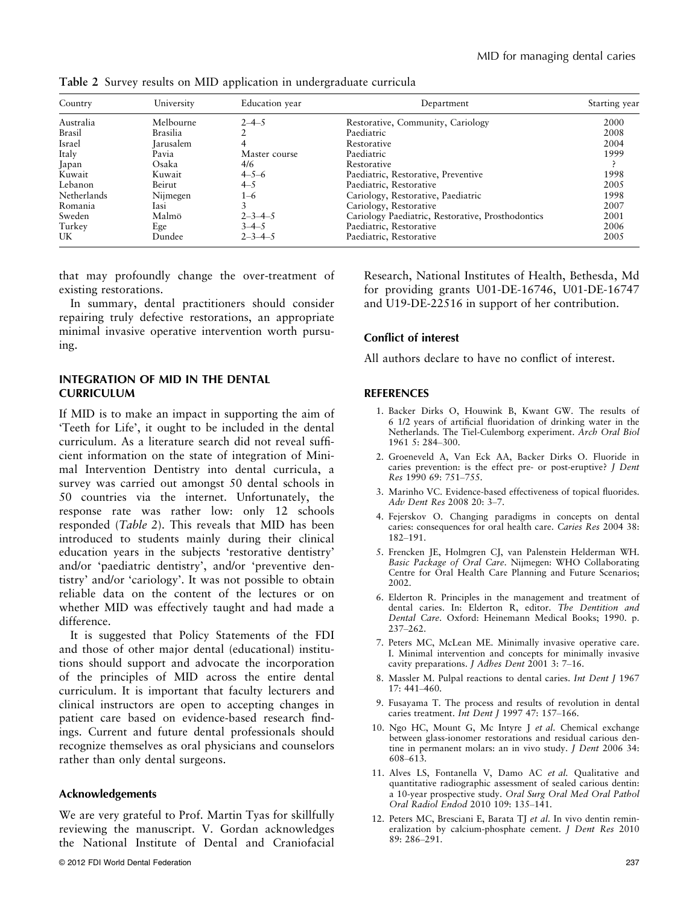| Country     | University       | Education year  | Department                                        | Starting year |
|-------------|------------------|-----------------|---------------------------------------------------|---------------|
| Australia   | Melbourne        | $2 - 4 - 5$     | Restorative, Community, Cariology                 | 2000          |
| Brasil      | <b>Brasilia</b>  |                 | Paediatric                                        | 2008          |
| Israel      | <b>Iarusalem</b> |                 | Restorative                                       | 2004          |
| Italy       | Pavia            | Master course   | Paediatric                                        | 1999          |
| Japan       | Osaka            | 4/6             | Restorative                                       |               |
| Kuwait      | Kuwait           | $4 - 5 - 6$     | Paediatric, Restorative, Preventive               | 1998          |
| Lebanon     | Beirut           | $4 - 5$         | Paediatric, Restorative                           | 2005          |
| Netherlands | Nijmegen         | $1 - 6$         | Cariology, Restorative, Paediatric                | 1998          |
| Romania     | lasi             | 3               | Cariology, Restorative                            | 2007          |
| Sweden      | Malmö            | $2 - 3 - 4 - 5$ | Cariology Paediatric, Restorative, Prosthodontics | 2001          |
| Turkey      | Ege              | $3 - 4 - 5$     | Paediatric, Restorative                           | 2006          |
| UK          | Dundee           | $2 - 3 - 4 - 5$ | Paediatric, Restorative                           | 2005          |

Table 2 Survey results on MID application in undergraduate curricula

that may profoundly change the over-treatment of existing restorations.

In summary, dental practitioners should consider repairing truly defective restorations, an appropriate minimal invasive operative intervention worth pursuing.

#### INTEGRATION OF MID IN THE DENTAL **CURRICULUM**

If MID is to make an impact in supporting the aim of 'Teeth for Life', it ought to be included in the dental curriculum. As a literature search did not reveal sufficient information on the state of integration of Minimal Intervention Dentistry into dental curricula, a survey was carried out amongst 50 dental schools in 50 countries via the internet. Unfortunately, the response rate was rather low: only 12 schools responded (Table 2). This reveals that MID has been introduced to students mainly during their clinical education years in the subjects 'restorative dentistry' and/or 'paediatric dentistry', and/or 'preventive dentistry' and/or 'cariology'. It was not possible to obtain reliable data on the content of the lectures or on whether MID was effectively taught and had made a difference.

It is suggested that Policy Statements of the FDI and those of other major dental (educational) institutions should support and advocate the incorporation of the principles of MID across the entire dental curriculum. It is important that faculty lecturers and clinical instructors are open to accepting changes in patient care based on evidence-based research findings. Current and future dental professionals should recognize themselves as oral physicians and counselors rather than only dental surgeons.

#### Acknowledgements

We are very grateful to Prof. Martin Tyas for skillfully reviewing the manuscript. V. Gordan acknowledges the National Institute of Dental and Craniofacial

Research, National Institutes of Health, Bethesda, Md for providing grants U01-DE-16746, U01-DE-16747 and U19-DE-22516 in support of her contribution.

#### Conflict of interest

All authors declare to have no conflict of interest.

#### **REFERENCES**

- 1. Backer Dirks O, Houwink B, Kwant GW. The results of 6 1/2 years of artificial fluoridation of drinking water in the Netherlands. The Tiel-Culemborg experiment. Arch Oral Biol 1961 5: 284–300.
- 2. Groeneveld A, Van Eck AA, Backer Dirks O. Fluoride in caries prevention: is the effect pre- or post-eruptive? J Dent Res 1990 69: 751–755.
- 3. Marinho VC. Evidence-based effectiveness of topical fluorides. Adv Dent Res 2008 20: 3–7.
- 4. Fejerskov O. Changing paradigms in concepts on dental caries: consequences for oral health care. Caries Res 2004 38: 182–191.
- 5. Frencken JE, Holmgren CJ, van Palenstein Helderman WH. Basic Package of Oral Care. Nijmegen: WHO Collaborating Centre for Oral Health Care Planning and Future Scenarios; 2002.
- 6. Elderton R. Principles in the management and treatment of dental caries. In: Elderton R, editor. The Dentition and Dental Care. Oxford: Heinemann Medical Books; 1990. p. 237–262.
- 7. Peters MC, McLean ME. Minimally invasive operative care. I. Minimal intervention and concepts for minimally invasive cavity preparations. J Adhes Dent 2001 3: 7–16.
- 8. Massler M. Pulpal reactions to dental caries. Int Dent J 1967 17: 441–460.
- 9. Fusayama T. The process and results of revolution in dental caries treatment. Int Dent J 1997 47: 157-166.
- 10. Ngo HC, Mount G, Mc Intyre J et al. Chemical exchange between glass-ionomer restorations and residual carious dentine in permanent molars: an in vivo study. J Dent 2006 34: 608–613.
- 11. Alves LS, Fontanella V, Damo AC et al. Qualitative and quantitative radiographic assessment of sealed carious dentin: a 10-year prospective study. Oral Surg Oral Med Oral Pathol Oral Radiol Endod 2010 109: 135–141.
- 12. Peters MC, Bresciani E, Barata TJ et al. In vivo dentin remineralization by calcium-phosphate cement. J Dent Res 2010 89: 286–291.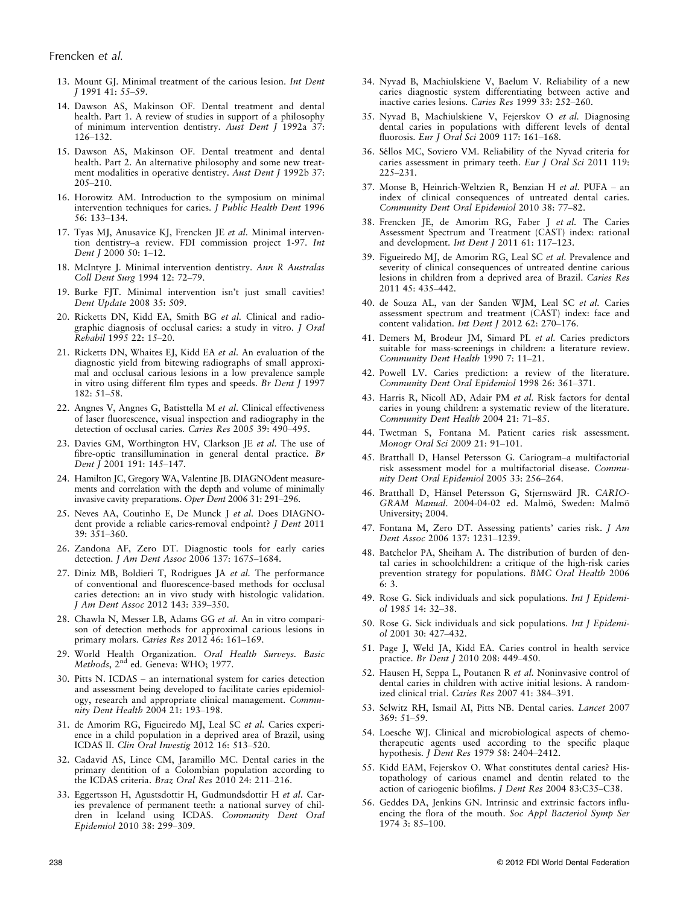- 13. Mount GJ. Minimal treatment of the carious lesion. Int Dent J 1991 41: 55–59.
- 14. Dawson AS, Makinson OF. Dental treatment and dental health. Part 1. A review of studies in support of a philosophy of minimum intervention dentistry. Aust Dent J 1992a 37: 126–132.
- 15. Dawson AS, Makinson OF. Dental treatment and dental health. Part 2. An alternative philosophy and some new treatment modalities in operative dentistry. Aust Dent J 1992b 37: 205–210.
- 16. Horowitz AM. Introduction to the symposium on minimal intervention techniques for caries. J Public Health Dent 1996 56: 133–134.
- 17. Tyas MJ, Anusavice KJ, Frencken JE et al. Minimal intervention dentistry–a review. FDI commission project 1-97. Int Dent J 2000 50: 1–12.
- 18. McIntyre J. Minimal intervention dentistry. Ann R Australas Coll Dent Surg 1994 12: 72–79.
- 19. Burke FJT. Minimal intervention isn't just small cavities! Dent Update 2008 35: 509.
- 20. Ricketts DN, Kidd EA, Smith BG et al. Clinical and radiographic diagnosis of occlusal caries: a study in vitro. J Oral Rehabil 1995 22: 15–20.
- 21. Ricketts DN, Whaites EJ, Kidd EA et al. An evaluation of the diagnostic yield from bitewing radiographs of small approximal and occlusal carious lesions in a low prevalence sample in vitro using different film types and speeds. Br Dent J 1997 182: 51–58.
- 22. Angnes V, Angnes G, Batisttella M et al. Clinical effectiveness of laser fluorescence, visual inspection and radiography in the detection of occlusal caries. Caries Res 2005 39: 490-495.
- 23. Davies GM, Worthington HV, Clarkson JE et al. The use of fibre-optic transillumination in general dental practice. Br Dent J 2001 191: 145-147.
- 24. Hamilton JC, Gregory WA, Valentine JB. DIAGNOdent measurements and correlation with the depth and volume of minimally invasive cavity preparations. Oper Dent 2006 31: 291–296.
- 25. Neves AA, Coutinho E, De Munck J et al. Does DIAGNOdent provide a reliable caries-removal endpoint? J Dent 2011 39: 351–360.
- 26. Zandona AF, Zero DT. Diagnostic tools for early caries detection. J Am Dent Assoc 2006 137: 1675–1684.
- 27. Diniz MB, Boldieri T, Rodrigues JA et al. The performance of conventional and fluorescence-based methods for occlusal caries detection: an in vivo study with histologic validation. J Am Dent Assoc 2012 143: 339–350.
- 28. Chawla N, Messer LB, Adams GG et al. An in vitro comparison of detection methods for approximal carious lesions in primary molars. Caries Res 2012 46: 161–169.
- 29. World Health Organization. Oral Health Surveys. Basic Methods, 2<sup>nd</sup> ed. Geneva: WHO; 1977.
- 30. Pitts N. ICDAS an international system for caries detection and assessment being developed to facilitate caries epidemiology, research and appropriate clinical management. Community Dent Health 2004 21: 193–198.
- 31. de Amorim RG, Figueiredo MJ, Leal SC et al. Caries experience in a child population in a deprived area of Brazil, using ICDAS II. Clin Oral Investig 2012 16: 513–520.
- 32. Cadavid AS, Lince CM, Jaramillo MC. Dental caries in the primary dentition of a Colombian population according to the ICDAS criteria. Braz Oral Res 2010 24: 211–216.
- 33. Eggertsson H, Agustsdottir H, Gudmundsdottir H et al. Caries prevalence of permanent teeth: a national survey of children in Iceland using ICDAS. Community Dent Oral Epidemiol 2010 38: 299–309.
- 34. Nyvad B, Machiulskiene V, Baelum V. Reliability of a new caries diagnostic system differentiating between active and inactive caries lesions. Caries Res 1999 33: 252–260.
- 35. Nyvad B, Machiulskiene V, Fejerskov O et al. Diagnosing dental caries in populations with different levels of dental fluorosis. Eur J Oral Sci 2009 117: 161–168.
- 36. Séllos MC, Soviero VM. Reliability of the Nyvad criteria for caries assessment in primary teeth. Eur J Oral Sci 2011 119: 225–231.
- 37. Monse B, Heinrich-Weltzien R, Benzian H et al. PUFA an index of clinical consequences of untreated dental caries. Community Dent Oral Epidemiol 2010 38: 77–82.
- 38. Frencken JE, de Amorim RG, Faber J et al. The Caries Assessment Spectrum and Treatment (CAST) index: rational and development. Int Dent J 2011 61: 117–123.
- 39. Figueiredo MJ, de Amorim RG, Leal SC et al. Prevalence and severity of clinical consequences of untreated dentine carious lesions in children from a deprived area of Brazil. Caries Res 2011 45: 435–442.
- 40. de Souza AL, van der Sanden WJM, Leal SC et al. Caries assessment spectrum and treatment (CAST) index: face and content validation. Int Dent J 2012 62: 270-176.
- 41. Demers M, Brodeur JM, Simard PL et al. Caries predictors suitable for mass-screenings in children: a literature review. Community Dent Health 1990 7: 11–21.
- 42. Powell LV. Caries prediction: a review of the literature. Community Dent Oral Epidemiol 1998 26: 361–371.
- 43. Harris R, Nicoll AD, Adair PM et al. Risk factors for dental caries in young children: a systematic review of the literature. Community Dent Health 2004 21: 71–85.
- 44. Twetman S, Fontana M. Patient caries risk assessment. Monogr Oral Sci 2009 21: 91–101.
- 45. Bratthall D, Hansel Petersson G. Cariogram–a multifactorial risk assessment model for a multifactorial disease. Community Dent Oral Epidemiol 2005 33: 256–264.
- 46. Bratthall D, Hänsel Petersson G, Stjernswärd JR. CARIO-GRAM Manual. 2004-04-02 ed. Malmö, Sweden: Malmö University; 2004.
- 47. Fontana M, Zero DT. Assessing patients' caries risk. J Am Dent Assoc 2006 137: 1231–1239.
- 48. Batchelor PA, Sheiham A. The distribution of burden of dental caries in schoolchildren: a critique of the high-risk caries prevention strategy for populations. BMC Oral Health 2006 6: 3.
- 49. Rose G. Sick individuals and sick populations. Int J Epidemiol 1985 14: 32–38.
- 50. Rose G. Sick individuals and sick populations. Int J Epidemiol 2001 30: 427–432.
- 51. Page J, Weld JA, Kidd EA. Caries control in health service practice. Br Dent J 2010 208: 449–450.
- 52. Hausen H, Seppa L, Poutanen R et al. Noninvasive control of dental caries in children with active initial lesions. A randomized clinical trial. Caries Res 2007 41: 384–391.
- 53. Selwitz RH, Ismail AI, Pitts NB. Dental caries. Lancet 2007 369: 51–59.
- 54. Loesche WJ. Clinical and microbiological aspects of chemotherapeutic agents used according to the specific plaque hypothesis. J Dent Res 1979 58: 2404–2412.
- 55. Kidd EAM, Fejerskov O. What constitutes dental caries? Histopathology of carious enamel and dentin related to the action of cariogenic biofilms. J Dent Res 2004 83:C35–C38.
- 56. Geddes DA, Jenkins GN. Intrinsic and extrinsic factors influencing the flora of the mouth. Soc Appl Bacteriol Symp Ser 1974 3: 85–100.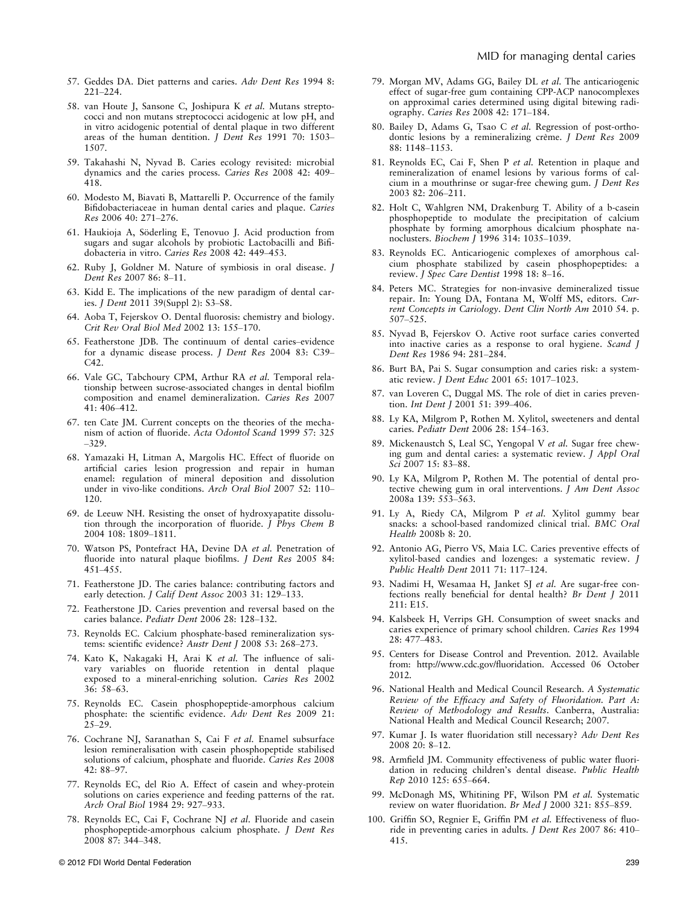- 57. Geddes DA. Diet patterns and caries. Adv Dent Res 1994 8: 221–224.
- 58. van Houte J, Sansone C, Joshipura K et al. Mutans streptococci and non mutans streptococci acidogenic at low pH, and in vitro acidogenic potential of dental plaque in two different areas of the human dentition. J Dent Res 1991 70: 1503– 1507.
- 59. Takahashi N, Nyvad B. Caries ecology revisited: microbial dynamics and the caries process. Caries Res 2008 42: 409– 418.
- 60. Modesto M, Biavati B, Mattarelli P. Occurrence of the family Bifidobacteriaceae in human dental caries and plaque. Caries Res 2006 40: 271–276.
- 61. Haukioja A, Söderling E, Tenovuo J. Acid production from sugars and sugar alcohols by probiotic Lactobacilli and Bifidobacteria in vitro. Caries Res 2008 42: 449–453.
- 62. Ruby J, Goldner M. Nature of symbiosis in oral disease. J Dent Res 2007 86: 8–11.
- 63. Kidd E. The implications of the new paradigm of dental caries. J Dent 2011 39(Suppl 2): S3–S8.
- 64. Aoba T, Fejerskov O. Dental fluorosis: chemistry and biology. Crit Rev Oral Biol Med 2002 13: 155–170.
- 65. Featherstone JDB. The continuum of dental caries–evidence for a dynamic disease process. J Dent Res 2004 83: C39–  $C42$
- 66. Vale GC, Tabchoury CPM, Arthur RA et al. Temporal relationship between sucrose-associated changes in dental biofilm composition and enamel demineralization. Caries Res 2007  $41:406-412.$
- 67. ten Cate JM. Current concepts on the theories of the mechanism of action of fluoride. Acta Odontol Scand 1999 57: 325 –329.
- 68. Yamazaki H, Litman A, Margolis HC. Effect of fluoride on artificial caries lesion progression and repair in human enamel: regulation of mineral deposition and dissolution under in vivo-like conditions. Arch Oral Biol 2007 52: 110– 120.
- 69. de Leeuw NH. Resisting the onset of hydroxyapatite dissolution through the incorporation of fluoride. J Phys Chem B 2004 108: 1809–1811.
- 70. Watson PS, Pontefract HA, Devine DA et al. Penetration of fluoride into natural plaque biofilms. *J Dent Res* 2005 84: 451–455.
- 71. Featherstone JD. The caries balance: contributing factors and early detection. J Calif Dent Assoc 2003 31: 129–133.
- 72. Featherstone JD. Caries prevention and reversal based on the caries balance. Pediatr Dent 2006 28: 128–132.
- 73. Reynolds EC. Calcium phosphate-based remineralization systems: scientific evidence? Austr Dent J 2008 53: 268–273.
- 74. Kato K, Nakagaki H, Arai K et al. The influence of salivary variables on fluoride retention in dental plaque exposed to a mineral-enriching solution. Caries Res 2002 36: 58–63.
- 75. Reynolds EC. Casein phosphopeptide-amorphous calcium phosphate: the scientific evidence. Adv Dent Res 2009 21:  $25-29.$
- 76. Cochrane NJ, Saranathan S, Cai F et al. Enamel subsurface lesion remineralisation with casein phosphopeptide stabilised solutions of calcium, phosphate and fluoride. Caries Res 2008 42: 88–97.
- 77. Reynolds EC, del Rio A. Effect of casein and whey-protein solutions on caries experience and feeding patterns of the rat. Arch Oral Biol 1984 29: 927–933.
- 78. Reynolds EC, Cai F, Cochrane NJ et al. Fluoride and casein phosphopeptide-amorphous calcium phosphate. J Dent Res 2008 87: 344–348.
- 79. Morgan MV, Adams GG, Bailey DL et al. The anticariogenic effect of sugar-free gum containing CPP-ACP nanocomplexes on approximal caries determined using digital bitewing radiography. Caries Res 2008 42: 171–184.
- 80. Bailey D, Adams G, Tsao C et al. Regression of post-orthodontic lesions by a remineralizing crème. J Dent Res 2009 88: 1148–1153.
- 81. Reynolds EC, Cai F, Shen P et al. Retention in plaque and remineralization of enamel lesions by various forms of calcium in a mouthrinse or sugar-free chewing gum. J Dent Res 2003 82: 206–211.
- 82. Holt C, Wahlgren NM, Drakenburg T. Ability of a b-casein phosphopeptide to modulate the precipitation of calcium phosphate by forming amorphous dicalcium phosphate nanoclusters. Biochem J 1996 314: 1035–1039.
- 83. Reynolds EC. Anticariogenic complexes of amorphous calcium phosphate stabilized by casein phosphopeptides: a review. J Spec Care Dentist 1998 18: 8–16.
- 84. Peters MC. Strategies for non-invasive demineralized tissue repair. In: Young DA, Fontana M, Wolff MS, editors. Current Concepts in Cariology. Dent Clin North Am 2010 54. p. 507–525.
- 85. Nyvad B, Fejerskov O. Active root surface caries converted into inactive caries as a response to oral hygiene. Scand J Dent Res 1986 94: 281–284.
- 86. Burt BA, Pai S. Sugar consumption and caries risk: a systematic review. J Dent Educ 2001 65: 1017–1023.
- 87. van Loveren C, Duggal MS. The role of diet in caries prevention. Int Dent J 2001 51: 399-406.
- 88. Ly KA, Milgrom P, Rothen M. Xylitol, sweeteners and dental caries. Pediatr Dent 2006 28: 154–163.
- 89. Mickenaustch S, Leal SC, Yengopal V et al. Sugar free chewing gum and dental caries: a systematic review. J Appl Oral Sci 2007 15: 83–88.
- 90. Ly KA, Milgrom P, Rothen M. The potential of dental protective chewing gum in oral interventions. J Am Dent Assoc 2008a 139: 553–563.
- 91. Ly A, Riedy CA, Milgrom P et al. Xylitol gummy bear snacks: a school-based randomized clinical trial. BMC Oral Health 2008b 8: 20.
- 92. Antonio AG, Pierro VS, Maia LC. Caries preventive effects of xylitol-based candies and lozenges: a systematic review. J Public Health Dent 2011 71: 117–124.
- 93. Nadimi H, Wesamaa H, Janket SJ et al. Are sugar-free confections really beneficial for dental health? Br Dent J 2011 211: E15.
- 94. Kalsbeek H, Verrips GH. Consumption of sweet snacks and caries experience of primary school children. Caries Res 1994 28: 477–483.
- 95. Centers for Disease Control and Prevention. 2012. Available from: http://www.cdc.gov/fluoridation. Accessed 06 October 2012.
- 96. National Health and Medical Council Research. A Systematic Review of the Efficacy and Safety of Fluoridation. Part A: Review of Methodology and Results. Canberra, Australia: National Health and Medical Council Research; 2007.
- 97. Kumar J. Is water fluoridation still necessary? Adv Dent Res 2008 20: 8–12.
- 98. Armfield JM. Community effectiveness of public water fluoridation in reducing children's dental disease. Public Health Rep 2010 125: 655–664.
- 99. McDonagh MS, Whitining PF, Wilson PM et al. Systematic review on water fluoridation. Br Med J 2000 321: 855–859.
- 100. Griffin SO, Regnier E, Griffin PM et al. Effectiveness of fluoride in preventing caries in adults. J Dent Res 2007 86: 410– 415.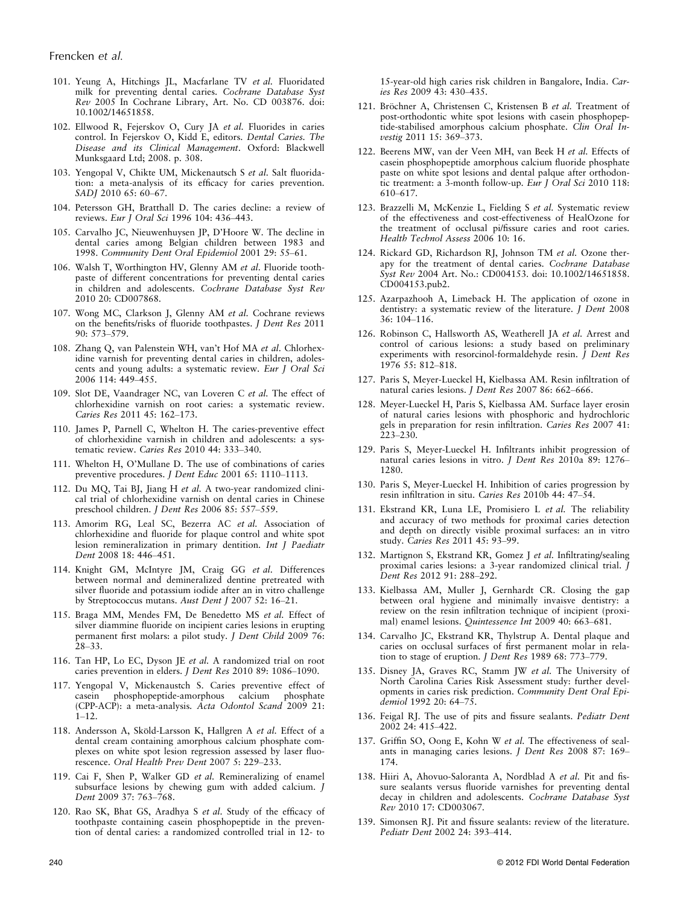- 101. Yeung A, Hitchings JL, Macfarlane TV et al. Fluoridated milk for preventing dental caries. Cochrane Database Syst Rev 2005 In Cochrane Library, Art. No. CD 003876. doi: 10.1002/14651858.
- 102. Ellwood R, Fejerskov O, Cury JA et al. Fluorides in caries control. In Fejerskov O, Kidd E, editors. Dental Caries. The Disease and its Clinical Management. Oxford: Blackwell Munksgaard Ltd; 2008. p. 308.
- 103. Yengopal V, Chikte UM, Mickenautsch S et al. Salt fluoridation: a meta-analysis of its efficacy for caries prevention. SADJ 2010 65: 60–67.
- 104. Petersson GH, Bratthall D. The caries decline: a review of reviews. Eur J Oral Sci 1996 104: 436–443.
- 105. Carvalho JC, Nieuwenhuysen JP, D'Hoore W. The decline in dental caries among Belgian children between 1983 and 1998. Community Dent Oral Epidemiol 2001 29: 55–61.
- 106. Walsh T, Worthington HV, Glenny AM et al. Fluoride toothpaste of different concentrations for preventing dental caries in children and adolescents. Cochrane Database Syst Rev 2010 20: CD007868.
- 107. Wong MC, Clarkson J, Glenny AM et al. Cochrane reviews on the benefits/risks of fluoride toothpastes. J Dent Res 2011 90: 573–579.
- 108. Zhang Q, van Palenstein WH, van't Hof MA et al. Chlorhexidine varnish for preventing dental caries in children, adolescents and young adults: a systematic review. Eur J Oral Sci 2006 114: 449–455.
- 109. Slot DE, Vaandrager NC, van Loveren C et al. The effect of chlorhexidine varnish on root caries: a systematic review. Caries Res 2011 45: 162–173.
- 110. James P, Parnell C, Whelton H. The caries-preventive effect of chlorhexidine varnish in children and adolescents: a systematic review. Caries Res 2010 44: 333–340.
- 111. Whelton H, O'Mullane D. The use of combinations of caries preventive procedures. J Dent Educ 2001 65: 1110–1113.
- 112. Du MQ, Tai BJ, Jiang H et al. A two-year randomized clinical trial of chlorhexidine varnish on dental caries in Chinese preschool children. J Dent Res 2006 85: 557–559.
- 113. Amorim RG, Leal SC, Bezerra AC et al. Association of chlorhexidine and fluoride for plaque control and white spot lesion remineralization in primary dentition. Int J Paediatr Dent 2008 18: 446–451.
- 114. Knight GM, McIntyre JM, Craig GG et al. Differences between normal and demineralized dentine pretreated with silver fluoride and potassium iodide after an in vitro challenge by Streptococcus mutans. Aust Dent J 2007 52: 16–21.
- 115. Braga MM, Mendes FM, De Benedetto MS et al. Effect of silver diammine fluoride on incipient caries lesions in erupting permanent first molars: a pilot study. J Dent Child 2009 76: 28–33.
- 116. Tan HP, Lo EC, Dyson JE et al. A randomized trial on root caries prevention in elders. J Dent Res 2010 89: 1086–1090.
- 117. Yengopal V, Mickenaustch S. Caries preventive effect of casein phosphopeptide-amorphous calcium phosphate (CPP-ACP): a meta-analysis. Acta Odontol Scand 2009 21:  $1-12$ .
- 118. Andersson A, Sköld-Larsson K, Hallgren A et al. Effect of a dental cream containing amorphous calcium phosphate complexes on white spot lesion regression assessed by laser fluorescence. Oral Health Prev Dent 2007 5: 229–233.
- 119. Cai F, Shen P, Walker GD et al. Remineralizing of enamel subsurface lesions by chewing gum with added calcium. J Dent 2009 37: 763-768.
- 120. Rao SK, Bhat GS, Aradhya S et al. Study of the efficacy of toothpaste containing casein phosphopeptide in the prevention of dental caries: a randomized controlled trial in 12- to

15-year-old high caries risk children in Bangalore, India. Caries Res 2009 43: 430–435.

- 121. Bröchner A, Christensen C, Kristensen B et al. Treatment of post-orthodontic white spot lesions with casein phosphopeptide-stabilised amorphous calcium phosphate. Clin Oral Investig 2011 15: 369–373.
- 122. Beerens MW, van der Veen MH, van Beek H et al. Effects of casein phosphopeptide amorphous calcium fluoride phosphate paste on white spot lesions and dental palque after orthodontic treatment: a 3-month follow-up. Eur J Oral Sci 2010 118: 610–617.
- 123. Brazzelli M, McKenzie L, Fielding S et al. Systematic review of the effectiveness and cost-effectiveness of HealOzone for the treatment of occlusal pi/fissure caries and root caries. Health Technol Assess 2006 10: 16.
- 124. Rickard GD, Richardson RJ, Johnson TM et al. Ozone therapy for the treatment of dental caries. Cochrane Database Syst Rev 2004 Art. No.: CD004153. doi: 10.1002/14651858. CD004153.pub2.
- 125. Azarpazhooh A, Limeback H. The application of ozone in dentistry: a systematic review of the literature. J Dent 2008 36: 104–116.
- 126. Robinson C, Hallsworth AS, Weatherell JA et al. Arrest and control of carious lesions: a study based on preliminary experiments with resorcinol-formaldehyde resin. J Dent Res 1976 55: 812–818.
- 127. Paris S, Meyer-Lueckel H, Kielbassa AM. Resin infiltration of natural caries lesions. J Dent Res 2007 86: 662–666.
- 128. Meyer-Lueckel H, Paris S, Kielbassa AM. Surface layer erosin of natural caries lesions with phosphoric and hydrochloric gels in preparation for resin infiltration. Caries Res 2007 41: 223–230.
- 129. Paris S, Meyer-Lueckel H. Infiltrants inhibit progression of natural caries lesions in vitro. J Dent Res 2010a 89: 1276– 1280.
- 130. Paris S, Meyer-Lueckel H. Inhibition of caries progression by resin infiltration in situ. Caries Res 2010b 44: 47–54.
- 131. Ekstrand KR, Luna LE, Promisiero L et al. The reliability and accuracy of two methods for proximal caries detection and depth on directly visible proximal surfaces: an in vitro study. Caries Res 2011 45: 93–99.
- 132. Martignon S, Ekstrand KR, Gomez J et al. Infiltrating/sealing proximal caries lesions: a 3-year randomized clinical trial. J Dent Res 2012 91: 288–292.
- 133. Kielbassa AM, Muller J, Gernhardt CR. Closing the gap between oral hygiene and minimally invaisve dentistry: a review on the resin infiltration technique of incipient (proximal) enamel lesions. Quintessence Int 2009 40: 663-681.
- 134. Carvalho JC, Ekstrand KR, Thylstrup A. Dental plaque and caries on occlusal surfaces of first permanent molar in relation to stage of eruption. J Dent Res 1989 68: 773–779.
- 135. Disney JA, Graves RC, Stamm JW et al. The University of North Carolina Caries Risk Assessment study: further developments in caries risk prediction. Community Dent Oral Epidemiol 1992 20: 64–75.
- 136. Feigal RJ. The use of pits and fissure sealants. Pediatr Dent 2002 24: 415–422.
- 137. Griffin SO, Oong E, Kohn W et al. The effectiveness of sealants in managing caries lesions. J Dent Res 2008 87: 169– 174.
- 138. Hiiri A, Ahovuo-Saloranta A, Nordblad A et al. Pit and fissure sealants versus fluoride varnishes for preventing dental decay in children and adolescents. Cochrane Database Syst Rev 2010 17: CD003067.
- 139. Simonsen RJ. Pit and fissure sealants: review of the literature. Pediatr Dent 2002 24: 393–414.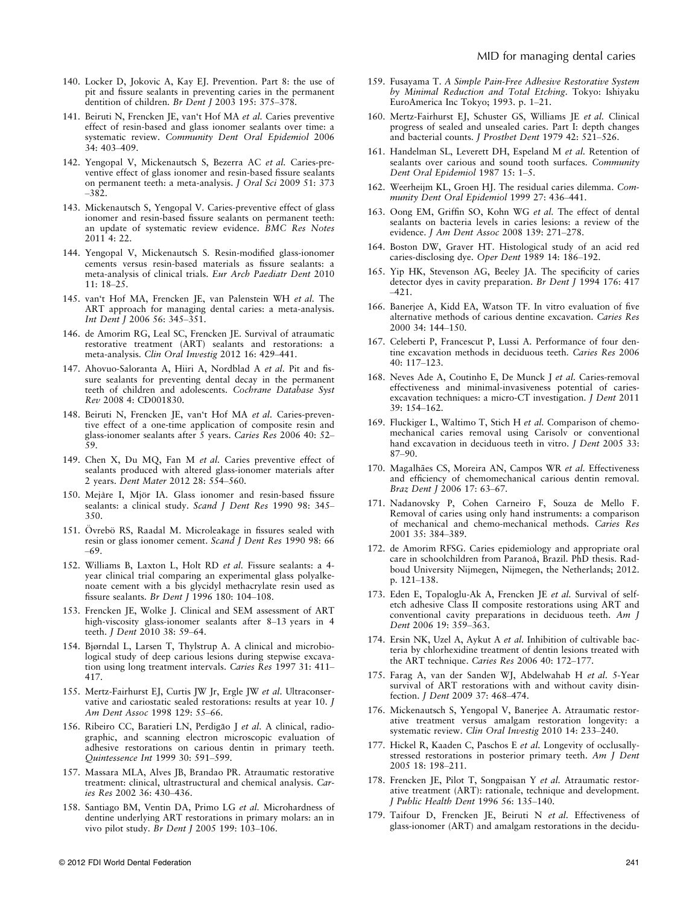- 140. Locker D, Jokovic A, Kay EJ. Prevention. Part 8: the use of pit and fissure sealants in preventing caries in the permanent dentition of children. Br Dent J 2003 195: 375–378.
- 141. Beiruti N, Frencken JE, van't Hof MA et al. Caries preventive effect of resin-based and glass ionomer sealants over time: a systematic review. Community Dent Oral Epidemiol 2006 34: 403–409.
- 142. Yengopal V, Mickenautsch S, Bezerra AC et al. Caries-preventive effect of glass ionomer and resin-based fissure sealants on permanent teeth: a meta-analysis. J Oral Sci 2009 51: 373 –382.
- 143. Mickenautsch S, Yengopal V. Caries-preventive effect of glass ionomer and resin-based fissure sealants on permanent teeth: an update of systematic review evidence. BMC Res Notes 2011 4: 22.
- 144. Yengopal V, Mickenautsch S. Resin-modified glass-ionomer cements versus resin-based materials as fissure sealants: a meta-analysis of clinical trials. Eur Arch Paediatr Dent 2010 11: 18–25.
- 145. van't Hof MA, Frencken JE, van Palenstein WH et al. The ART approach for managing dental caries: a meta-analysis. Int Dent J 2006 56: 345–351.
- 146. de Amorim RG, Leal SC, Frencken JE. Survival of atraumatic restorative treatment (ART) sealants and restorations: a meta-analysis. Clin Oral Investig 2012 16: 429–441.
- 147. Ahovuo-Saloranta A, Hiiri A, Nordblad A et al. Pit and fissure sealants for preventing dental decay in the permanent teeth of children and adolescents. Cochrane Database Syst Rev 2008 4: CD001830.
- 148. Beiruti N, Frencken JE, van't Hof MA et al. Caries-preventive effect of a one-time application of composite resin and glass-ionomer sealants after 5 years. Caries Res 2006 40: 52– 59.
- 149. Chen X, Du MQ, Fan M et al. Caries preventive effect of sealants produced with altered glass-ionomer materials after 2 years. Dent Mater 2012 28: 554–560.
- 150. Mejare I, Mjör IA. Glass ionomer and resin-based fissure sealants: a clinical study. Scand J Dent Res 1990 98: 345-350.
- 151. Övrebö RS, Raadal M. Microleakage in fissures sealed with resin or glass ionomer cement. Scand J Dent Res 1990 98: 66 –69.
- 152. Williams B, Laxton L, Holt RD et al. Fissure sealants: a 4 year clinical trial comparing an experimental glass polyalkenoate cement with a bis glycidyl methacrylate resin used as fissure sealants. Br Dent J 1996 180: 104–108.
- 153. Frencken JE, Wolke J. Clinical and SEM assessment of ART high-viscosity glass-ionomer sealants after 8–13 years in 4 teeth. J Dent 2010 38: 59–64.
- 154. Bjørndal L, Larsen T, Thylstrup A. A clinical and microbiological study of deep carious lesions during stepwise excavation using long treatment intervals. Caries Res 1997 31: 411– 417.
- 155. Mertz-Fairhurst EJ, Curtis JW Jr, Ergle JW et al. Ultraconservative and cariostatic sealed restorations: results at year 10. J Am Dent Assoc 1998 129: 55–66.
- 156. Ribeiro CC, Baratieri LN, Perdigão J et al. A clinical, radiographic, and scanning electron microscopic evaluation of adhesive restorations on carious dentin in primary teeth. Quintessence Int 1999 30: 591–599.
- 157. Massara MLA, Alves JB, Brandao PR. Atraumatic restorative treatment: clinical, ultrastructural and chemical analysis. Caries Res 2002 36: 430–436.
- 158. Santiago BM, Ventin DA, Primo LG et al. Microhardness of dentine underlying ART restorations in primary molars: an in vivo pilot study. Br Dent J 2005 199: 103–106.
- 159. Fusayama T. A Simple Pain-Free Adhesive Restorative System by Minimal Reduction and Total Etching. Tokyo: Ishiyaku EuroAmerica Inc Tokyo; 1993. p. 1–21.
- 160. Mertz-Fairhurst EJ, Schuster GS, Williams JE et al. Clinical progress of sealed and unsealed caries. Part I: depth changes and bacterial counts. J Prosthet Dent 1979 42: 521–526.
- 161. Handelman SL, Leverett DH, Espeland M et al. Retention of sealants over carious and sound tooth surfaces. Community Dent Oral Epidemiol 1987 15: 1–5.
- 162. Weerheijm KL, Groen HJ. The residual caries dilemma. Community Dent Oral Epidemiol 1999 27: 436–441.
- 163. Oong EM, Griffin SO, Kohn WG et al. The effect of dental sealants on bacteria levels in caries lesions: a review of the evidence. J Am Dent Assoc 2008 139: 271–278.
- 164. Boston DW, Graver HT. Histological study of an acid red caries-disclosing dye. Oper Dent 1989 14: 186-192.
- 165. Yip HK, Stevenson AG, Beeley JA. The specificity of caries detector dyes in cavity preparation. Br Dent J 1994 176: 417 –421.
- 166. Banerjee A, Kidd EA, Watson TF. In vitro evaluation of five alternative methods of carious dentine excavation. Caries Res 2000 34: 144–150.
- 167. Celeberti P, Francescut P, Lussi A. Performance of four dentine excavation methods in deciduous teeth. Caries Res 2006  $40 \cdot 117 - 123$
- 168. Neves Ade A, Coutinho E, De Munck J et al. Caries-removal effectiveness and minimal-invasiveness potential of cariesexcavation techniques: a micro-CT investigation. J Dent 2011 39: 154–162.
- 169. Fluckiger L, Waltimo T, Stich H et al. Comparison of chemomechanical caries removal using Carisolv or conventional hand excavation in deciduous teeth in vitro. *J Dent* 2005 33: 87–90.
- 170. Magalhães CS, Moreira AN, Campos WR et al. Effectiveness and efficiency of chemomechanical carious dentin removal. Braz Dent J 2006 17: 63–67.
- 171. Nadanovsky P, Cohen Carneiro F, Souza de Mello F. Removal of caries using only hand instruments: a comparison of mechanical and chemo-mechanical methods. Caries Res 2001 35: 384–389.
- 172. de Amorim RFSG. Caries epidemiology and appropriate oral care in schoolchildren from Paranoá, Brazil. PhD thesis. Radboud University Nijmegen, Nijmegen, the Netherlands; 2012. p. 121–138.
- 173. Eden E, Topaloglu-Ak A, Frencken JE et al. Survival of selfetch adhesive Class II composite restorations using ART and conventional cavity preparations in deciduous teeth. Am J Dent 2006 19: 359-363.
- 174. Ersin NK, Uzel A, Aykut A et al. Inhibition of cultivable bacteria by chlorhexidine treatment of dentin lesions treated with the ART technique. Caries Res 2006 40: 172–177.
- 175. Farag A, van der Sanden WJ, Abdelwahab H et al. 5-Year survival of ART restorations with and without cavity disinfection. J Dent 2009 37: 468–474.
- 176. Mickenautsch S, Yengopal V, Banerjee A. Atraumatic restorative treatment versus amalgam restoration longevity: a systematic review. Clin Oral Investig 2010 14: 233–240.
- 177. Hickel R, Kaaden C, Paschos E et al. Longevity of occlusallystressed restorations in posterior primary teeth. Am J Dent 2005 18: 198–211.
- 178. Frencken JE, Pilot T, Songpaisan Y et al. Atraumatic restorative treatment (ART): rationale, technique and development. J Public Health Dent 1996 56: 135–140.
- 179. Taifour D, Frencken JE, Beiruti N et al. Effectiveness of glass-ionomer (ART) and amalgam restorations in the decidu-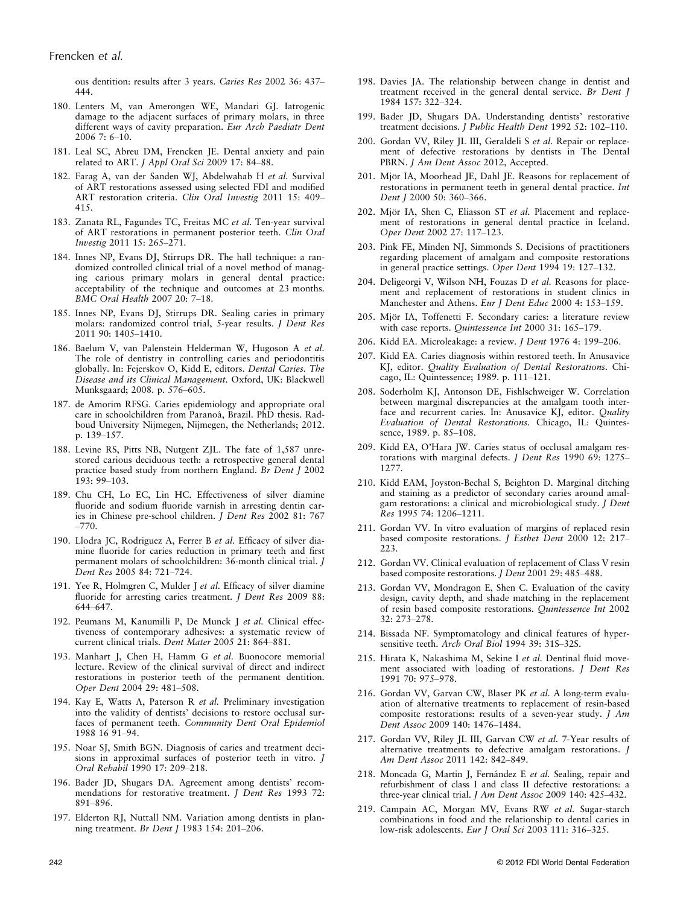ous dentition: results after 3 years. Caries Res 2002 36: 437– 444.

- 180. Lenters M, van Amerongen WE, Mandari GJ. Iatrogenic damage to the adjacent surfaces of primary molars, in three different ways of cavity preparation. Eur Arch Paediatr Dent 2006 7: 6–10.
- 181. Leal SC, Abreu DM, Frencken JE. Dental anxiety and pain related to ART. J Appl Oral Sci 2009 17: 84–88.
- 182. Farag A, van der Sanden WJ, Abdelwahab H et al. Survival of ART restorations assessed using selected FDI and modified ART restoration criteria. Clin Oral Investig 2011 15: 409– 415.
- 183. Zanata RL, Fagundes TC, Freitas MC et al. Ten-year survival of ART restorations in permanent posterior teeth. Clin Oral Investig 2011 15: 265–271.
- 184. Innes NP, Evans DJ, Stirrups DR. The hall technique: a randomized controlled clinical trial of a novel method of managing carious primary molars in general dental practice: acceptability of the technique and outcomes at 23 months. BMC Oral Health 2007 20: 7–18.
- 185. Innes NP, Evans DJ, Stirrups DR. Sealing caries in primary molars: randomized control trial, 5-year results. J Dent Res 2011 90: 1405–1410.
- 186. Baelum V, van Palenstein Helderman W, Hugoson A et al. The role of dentistry in controlling caries and periodontitis globally. In: Fejerskov O, Kidd E, editors. Dental Caries. The Disease and its Clinical Management. Oxford, UK: Blackwell Munksgaard; 2008. p. 576–605.
- 187. de Amorim RFSG. Caries epidemiology and appropriate oral care in schoolchildren from Paranoá, Brazil. PhD thesis. Radboud University Nijmegen, Nijmegen, the Netherlands; 2012. p. 139–157.
- 188. Levine RS, Pitts NB, Nutgent ZJL. The fate of 1,587 unrestored carious deciduous teeth: a retrospective general dental practice based study from northern England. Br Dent J 2002 193: 99–103.
- 189. Chu CH, Lo EC, Lin HC. Effectiveness of silver diamine fluoride and sodium fluoride varnish in arresting dentin caries in Chinese pre-school children. J Dent Res 2002 81: 767 –770.
- 190. Llodra JC, Rodriguez A, Ferrer B et al. Efficacy of silver diamine fluoride for caries reduction in primary teeth and first permanent molars of schoolchildren: 36-month clinical trial. J Dent Res 2005 84: 721–724.
- 191. Yee R, Holmgren C, Mulder J et al. Efficacy of silver diamine fluoride for arresting caries treatment. *J Dent Res* 2009 88: 644–647.
- 192. Peumans M, Kanumilli P, De Munck J et al. Clinical effectiveness of contemporary adhesives: a systematic review of current clinical trials. Dent Mater 2005 21: 864–881.
- 193. Manhart J, Chen H, Hamm G et al. Buonocore memorial lecture. Review of the clinical survival of direct and indirect restorations in posterior teeth of the permanent dentition. Oper Dent 2004 29: 481–508.
- 194. Kay E, Watts A, Paterson R et al. Preliminary investigation into the validity of dentists' decisions to restore occlusal surfaces of permanent teeth. Community Dent Oral Epidemiol 1988 16 91–94.
- 195. Noar SJ, Smith BGN. Diagnosis of caries and treatment decisions in approximal surfaces of posterior teeth in vitro. J Oral Rehabil 1990 17: 209–218.
- 196. Bader JD, Shugars DA. Agreement among dentists' recommendations for restorative treatment. J Dent Res 1993 72: 891–896.
- 197. Elderton RJ, Nuttall NM. Variation among dentists in planning treatment. Br Dent J 1983 154: 201–206.
- 198. Davies JA. The relationship between change in dentist and treatment received in the general dental service. Br Dent J 1984 157: 322–324.
- 199. Bader JD, Shugars DA. Understanding dentists' restorative treatment decisions. J Public Health Dent 1992 52: 102–110.
- 200. Gordan VV, Riley JL III, Geraldeli S et al. Repair or replacement of defective restorations by dentists in The Dental PBRN. J Am Dent Assoc 2012, Accepted.
- 201. Mjör IA, Moorhead JE, Dahl JE. Reasons for replacement of restorations in permanent teeth in general dental practice. Int Dent J 2000 50: 360-366.
- 202. Mjör IA, Shen C, Eliasson ST et al. Placement and replacement of restorations in general dental practice in Iceland. Oper Dent 2002 27: 117–123.
- 203. Pink FE, Minden NJ, Simmonds S. Decisions of practitioners regarding placement of amalgam and composite restorations in general practice settings. Oper Dent 1994 19: 127–132.
- 204. Deligeorgi V, Wilson NH, Fouzas D et al. Reasons for placement and replacement of restorations in student clinics in Manchester and Athens. Eur J Dent Educ 2000 4: 153-159.
- 205. Mjör IA, Toffenetti F. Secondary caries: a literature review with case reports. Quintessence Int 2000 31: 165–179.
- 206. Kidd EA. Microleakage: a review. J Dent 1976 4: 199–206.
- 207. Kidd EA. Caries diagnosis within restored teeth. In Anusavice KJ, editor. Quality Evaluation of Dental Restorations. Chicago, IL: Quintessence; 1989. p. 111–121.
- 208. Soderholm KJ, Antonson DE, Fishlschweiger W. Correlation between marginal discrepancies at the amalgam tooth interface and recurrent caries. In: Anusavice KJ, editor. Quality Evaluation of Dental Restorations. Chicago, IL: Quintessence, 1989. p. 85–108.
- 209. Kidd EA, O'Hara JW. Caries status of occlusal amalgam restorations with marginal defects. J Dent Res 1990 69: 1275– 1277.
- 210. Kidd EAM, Joyston-Bechal S, Beighton D. Marginal ditching and staining as a predictor of secondary caries around amalgam restorations: a clinical and microbiological study. J Dent Res 1995 74: 1206–1211.
- 211. Gordan VV. In vitro evaluation of margins of replaced resin based composite restorations. J Esthet Dent 2000 12: 217– 223.
- 212. Gordan VV. Clinical evaluation of replacement of Class V resin based composite restorations. J Dent 2001 29: 485–488.
- 213. Gordan VV, Mondragon E, Shen C. Evaluation of the cavity design, cavity depth, and shade matching in the replacement of resin based composite restorations. Quintessence Int 2002 32: 273–278.
- 214. Bissada NF. Symptomatology and clinical features of hypersensitive teeth. Arch Oral Biol 1994 39: 31S–32S.
- 215. Hirata K, Nakashima M, Sekine I et al. Dentinal fluid movement associated with loading of restorations. J Dent Res 1991 70: 975–978.
- 216. Gordan VV, Garvan CW, Blaser PK et al. A long-term evaluation of alternative treatments to replacement of resin-based composite restorations: results of a seven-year study. J Am Dent Assoc 2009 140: 1476–1484.
- 217. Gordan VV, Riley JL III, Garvan CW et al. 7-Year results of alternative treatments to defective amalgam restorations. J Am Dent Assoc 2011 142: 842–849.
- 218. Moncada G, Martin J, Fernández E et al. Sealing, repair and refurbishment of class I and class II defective restorations: a three-year clinical trial. J Am Dent Assoc 2009 140: 425–432.
- 219. Campain AC, Morgan MV, Evans RW et al. Sugar-starch combinations in food and the relationship to dental caries in low-risk adolescents. Eur J Oral Sci 2003 111: 316–325.